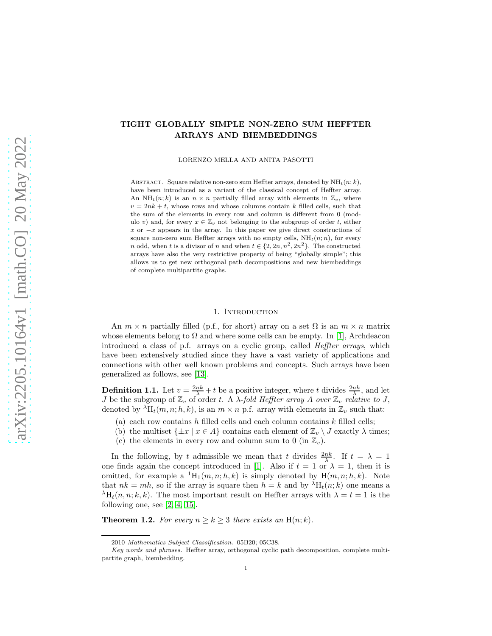# TIGHT GLOBALLY SIMPLE NON-ZERO SUM HEFFTER ARRAYS AND BIEMBEDDINGS

LORENZO MELLA AND ANITA PASOTTI

ABSTRACT. Square relative non-zero sum Heffter arrays, denoted by  $NH_t(n; k)$ , have been introduced as a variant of the classical concept of Heffter array. An NH<sub>t</sub> $(n, k)$  is an  $n \times n$  partially filled array with elements in  $\mathbb{Z}_v$ , where  $v = 2nk + t$ , whose rows and whose columns contain k filled cells, such that the sum of the elements in every row and column is different from 0 (modulo v) and, for every  $x \in \mathbb{Z}_v$  not belonging to the subgroup of order t, either  $x$  or  $-x$  appears in the array. In this paper we give direct constructions of square non-zero sum Heffter arrays with no empty cells,  $NH<sub>t</sub>(n; n)$ , for every n odd, when t is a divisor of n and when  $t \in \{2, 2n, n^2, 2n^2\}$ . The constructed arrays have also the very restrictive property of being "globally simple"; this allows us to get new orthogonal path decompositions and new biembeddings of complete multipartite graphs.

#### 1. INTRODUCTION

An  $m \times n$  partially filled (p.f., for short) array on a set  $\Omega$  is an  $m \times n$  matrix whose elements belong to  $\Omega$  and where some cells can be empty. In [\[1\]](#page-33-0), Archdeacon introduced a class of p.f. arrays on a cyclic group, called Heffter arrays, which have been extensively studied since they have a vast variety of applications and connections with other well known problems and concepts. Such arrays have been generalized as follows, see [\[13\]](#page-33-1).

**Definition 1.1.** Let  $v = \frac{2nk}{\lambda} + t$  be a positive integer, where t divides  $\frac{2nk}{\lambda}$ , and let J be the subgroup of  $\mathbb{Z}_v$  of order t. A  $\lambda$ -fold Heffter array A over  $\mathbb{Z}_v$  relative to J, denoted by  ${}^{\lambda}H_t(m, n; h, k)$ , is an  $m \times n$  p.f. array with elements in  $\mathbb{Z}_v$  such that:

- (a) each row contains h filled cells and each column contains  $k$  filled cells;
- (b) the multiset  $\{\pm x \mid x \in A\}$  contains each element of  $\mathbb{Z}_v \setminus J$  exactly  $\lambda$  times;
- (c) the elements in every row and column sum to 0 (in  $\mathbb{Z}_v$ ).

In the following, by t admissible we mean that t divides  $\frac{2nk}{\lambda}$ . If  $t = \lambda = 1$ one finds again the concept introduced in [\[1\]](#page-33-0). Also if  $t = 1$  or  $\lambda = 1$ , then it is omitted, for example a  ${}^{1}H_1(m, n; h, k)$  is simply denoted by  $H(m, n; h, k)$ . Note that  $nk = mh$ , so if the array is square then  $h = k$  and by  $\lambda H_t(n; k)$  one means a  $\lambda_{\text{H}_{t}(n,n;k,k)}$ . The most important result on Heffter arrays with  $\lambda = t = 1$  is the following one, see [\[2,](#page-33-2) [4,](#page-33-3) [15\]](#page-33-4).

**Theorem 1.2.** For every  $n \geq k \geq 3$  there exists an H(n; k).

<sup>2010</sup> Mathematics Subject Classification. 05B20; 05C38.

Key words and phrases. Heffter array, orthogonal cyclic path decomposition, complete multipartite graph, biembedding.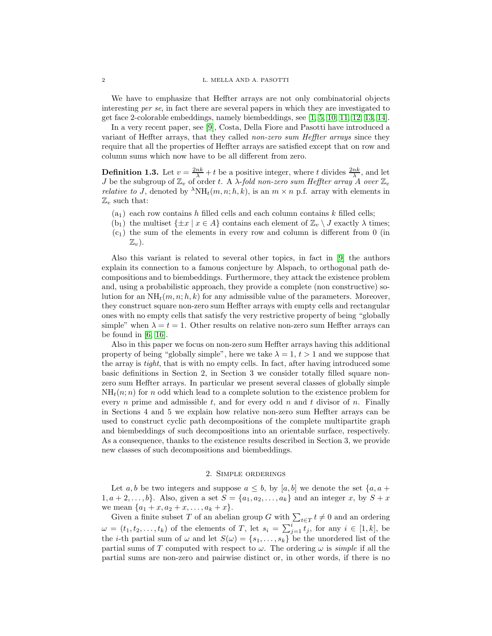We have to emphasize that Heffter arrays are not only combinatorial objects interesting per se, in fact there are several papers in which they are investigated to get face 2-colorable embeddings, namely biembeddings, see [\[1,](#page-33-0) [5,](#page-33-5) [10,](#page-33-6) [11,](#page-33-7) [12,](#page-33-8) [13,](#page-33-1) [14\]](#page-33-9).

In a very recent paper, see [\[9\]](#page-33-10), Costa, Della Fiore and Pasotti have introduced a variant of Heffter arrays, that they called non-zero sum Heffter arrays since they require that all the properties of Heffter arrays are satisfied except that on row and column sums which now have to be all different from zero.

<span id="page-1-0"></span>**Definition 1.3.** Let  $v = \frac{2nk}{\lambda} + t$  be a positive integer, where t divides  $\frac{2nk}{\lambda}$ , and let J be the subgroup of  $\mathbb{Z}_v$  of order t. A  $\lambda$ -fold non-zero sum Heffter array  $\hat{A}$  over  $\mathbb{Z}_v$ *relative to J*, denoted by  ${}^{\lambda}NH_t(m, n; h, k)$ , is an  $m \times n$  p.f. array with elements in  $\mathbb{Z}_v$  such that:

- $(a_1)$  each row contains h filled cells and each column contains k filled cells;
- (b<sub>1</sub>) the multiset  $\{\pm x \mid x \in A\}$  contains each element of  $\mathbb{Z}_v \setminus J$  exactly  $\lambda$  times;
- $(c_1)$  the sum of the elements in every row and column is different from 0 (in  $\mathbb{Z}_v$ ).

Also this variant is related to several other topics, in fact in [\[9\]](#page-33-10) the authors explain its connection to a famous conjecture by Alspach, to orthogonal path decompositions and to biembeddings. Furthermore, they attack the existence problem and, using a probabilistic approach, they provide a complete (non constructive) solution for an  $NH_t(m, n; h, k)$  for any admissible value of the parameters. Moreover, they construct square non-zero sum Heffter arrays with empty cells and rectangular ones with no empty cells that satisfy the very restrictive property of being "globally simple" when  $\lambda = t = 1$ . Other results on relative non-zero sum Heffter arrays can be found in [\[6,](#page-33-11) [16\]](#page-33-12).

Also in this paper we focus on non-zero sum Heffter arrays having this additional property of being "globally simple", here we take  $\lambda = 1, t > 1$  and we suppose that the array is tight, that is with no empty cells. In fact, after having introduced some basic definitions in Section 2, in Section 3 we consider totally filled square nonzero sum Heffter arrays. In particular we present several classes of globally simple  $NH<sub>t</sub>(n; n)$  for n odd which lead to a complete solution to the existence problem for every n prime and admissible t, and for every odd n and t divisor of n. Finally in Sections 4 and 5 we explain how relative non-zero sum Heffter arrays can be used to construct cyclic path decompositions of the complete multipartite graph and biembeddings of such decompositions into an orientable surface, respectively. As a consequence, thanks to the existence results described in Section 3, we provide new classes of such decompositions and biembeddings.

# 2. Simple orderings

Let a, b be two integers and suppose  $a \leq b$ , by [a, b] we denote the set  $\{a, a +$  $1, a+2, \ldots, b\}$ . Also, given a set  $S = \{a_1, a_2, \ldots, a_k\}$  and an integer x, by  $S + x$ we mean  $\{a_1 + x, a_2 + x, \ldots, a_k + x\}.$ 

Given a finite subset T of an abelian group G with  $\sum_{t \in T} t \neq 0$  and an ordering  $\omega = (t_1, t_2, \ldots, t_k)$  of the elements of T, let  $s_i = \sum_{j=1}^i t_j$ , for any  $i \in [1, k]$ , be the *i*-th partial sum of  $\omega$  and let  $S(\omega) = \{s_1, \ldots, s_k\}$  be the unordered list of the partial sums of T computed with respect to  $\omega$ . The ordering  $\omega$  is *simple* if all the partial sums are non-zero and pairwise distinct or, in other words, if there is no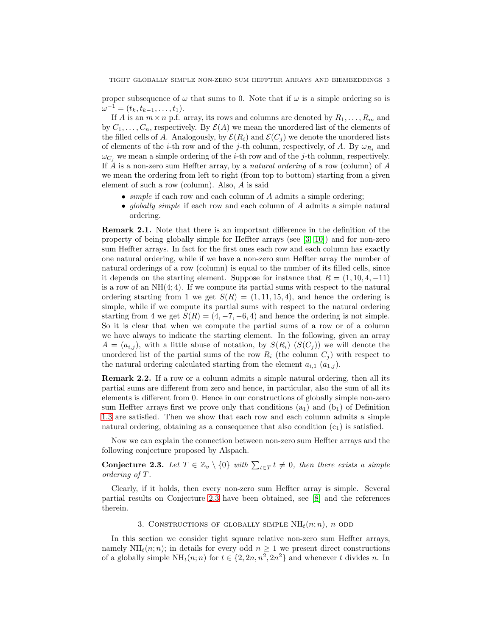proper subsequence of  $\omega$  that sums to 0. Note that if  $\omega$  is a simple ordering so is  $\omega^{-1} = (t_k, t_{k-1}, \ldots, t_1).$ 

If A is an  $m \times n$  p.f. array, its rows and columns are denoted by  $R_1, \ldots, R_m$  and by  $C_1, \ldots, C_n$ , respectively. By  $\mathcal{E}(A)$  we mean the unordered list of the elements of the filled cells of A. Analogously, by  $\mathcal{E}(R_i)$  and  $\mathcal{E}(C_i)$  we denote the unordered lists of elements of the *i*-th row and of the *j*-th column, respectively, of A. By  $\omega_{R_i}$  and  $\omega_{C_i}$  we mean a simple ordering of the *i*-th row and of the *j*-th column, respectively. If A is a non-zero sum Heffter array, by a *natural ordering* of a row (column) of  $A$ we mean the ordering from left to right (from top to bottom) starting from a given element of such a row (column). Also, A is said

- $\bullet$  simple if each row and each column of  $A$  admits a simple ordering;
- *globally simple* if each row and each column of A admits a simple natural ordering.

<span id="page-2-1"></span>Remark 2.1. Note that there is an important difference in the definition of the property of being globally simple for Heffter arrays (see [\[3,](#page-33-13) [10\]](#page-33-6)) and for non-zero sum Heffter arrays. In fact for the first ones each row and each column has exactly one natural ordering, while if we have a non-zero sum Heffter array the number of natural orderings of a row (column) is equal to the number of its filled cells, since it depends on the starting element. Suppose for instance that  $R = (1, 10, 4, -11)$ is a row of an  $NH(4, 4)$ . If we compute its partial sums with respect to the natural ordering starting from 1 we get  $S(R) = (1, 11, 15, 4)$ , and hence the ordering is simple, while if we compute its partial sums with respect to the natural ordering starting from 4 we get  $S(R) = (4, -7, -6, 4)$  and hence the ordering is not simple. So it is clear that when we compute the partial sums of a row or of a column we have always to indicate the starting element. In the following, given an array  $A = (a_{i,j})$ , with a little abuse of notation, by  $S(R_i)$   $(S(C_i))$  we will denote the unordered list of the partial sums of the row  $R_i$  (the column  $C_j$ ) with respect to the natural ordering calculated starting from the element  $a_{i,1}$   $(a_{1,i})$ .

<span id="page-2-2"></span>Remark 2.2. If a row or a column admits a simple natural ordering, then all its partial sums are different from zero and hence, in particular, also the sum of all its elements is different from 0. Hence in our constructions of globally simple non-zero sum Heffter arrays first we prove only that conditions  $(a_1)$  and  $(b_1)$  of Definition [1.3](#page-1-0) are satisfied. Then we show that each row and each column admits a simple natural ordering, obtaining as a consequence that also condition  $(c_1)$  is satisfied.

Now we can explain the connection between non-zero sum Heffter arrays and the following conjecture proposed by Alspach.

<span id="page-2-0"></span>**Conjecture 2.3.** Let  $T \in \mathbb{Z}_v \setminus \{0\}$  with  $\sum_{t \in T} t \neq 0$ , then there exists a simple ordering of T .

Clearly, if it holds, then every non-zero sum Heffter array is simple. Several partial results on Conjecture [2.3](#page-2-0) have been obtained, see [\[8\]](#page-33-14) and the references therein.

# 3. CONSTRUCTIONS OF GLOBALLY SIMPLE  $NH_t(n; n)$ , n ODD

In this section we consider tight square relative non-zero sum Heffter arrays, namely  $NH<sub>t</sub>(n; n)$ ; in details for every odd  $n \geq 1$  we present direct constructions of a globally simple  $NH_t(n; n)$  for  $t \in \{2, 2n, n^2, 2n^2\}$  and whenever t divides n. In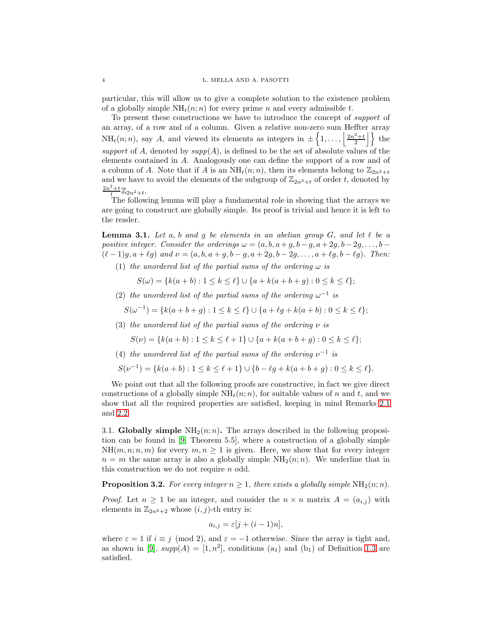particular, this will allow us to give a complete solution to the existence problem of a globally simple  $NH<sub>t</sub>(n; n)$  for every prime n and every admissible t.

To present these constructions we have to introduce the concept of support of an array, of a row and of a column. Given a relative non-zero sum Heffter array  $NH_t(n; n)$ , say A, and viewed its elements as integers in  $\pm \left\{1, \ldots, \left|\frac{2n^2+t}{2}\right|\right\}$  the support of A, denoted by  $supp(A)$ , is defined to be the set of absolute values of the elements contained in A. Analogously one can define the support of a row and of a column of A. Note that if A is an  $NH_t(n;n)$ , then its elements belong to  $\mathbb{Z}_{2n^2+t}$ and we have to avoid the elements of the subgroup of  $\mathbb{Z}_{2n^2+t}$  of order t, denoted by  $\frac{2n^2+t}{t}\mathbb{Z}_{2n^2+t}$ .

The following lemma will play a fundamental role in showing that the arrays we are going to construct are globally simple. Its proof is trivial and hence it is left to the reader.

<span id="page-3-1"></span>**Lemma 3.1.** Let a, b and g be elements in an abelian group G, and let  $\ell$  be a positive integer. Consider the orderings  $\omega = (a, b, a + g, b - g, a + 2g, b - 2g, \ldots, b (\ell-1)g, a+\ell g$  and  $\nu = (a, b, a+g, b-g, a+2g, b-2g, \ldots, a+\ell g, b-\ell g)$ . Then:

(1) the unordered list of the partial sums of the ordering  $\omega$  is

 $S(\omega) = \{k(a + b) : 1 \leq k \leq \ell\} \cup \{a + k(a + b + g) : 0 \leq k \leq \ell\};$ 

(2) the unordered list of the partial sums of the ordering  $\omega^{-1}$  is

$$
S(\omega^{-1}) = \{k(a+b+g) : 1 \le k \le \ell\} \cup \{a+\ell g + k(a+b) : 0 \le k \le \ell\};
$$

(3) the unordered list of the partial sums of the ordering  $\nu$  is

$$
S(\nu) = \{k(a+b) : 1 \le k \le \ell + 1\} \cup \{a + k(a+b+g) : 0 \le k \le \ell\};
$$

(4) the unordered list of the partial sums of the ordering  $\nu^{-1}$  is

$$
S(\nu^{-1}) = \{k(a+b) : 1 \le k \le \ell+1\} \cup \{b-\ell g + k(a+b+g) : 0 \le k \le \ell\}.
$$

We point out that all the following proofs are constructive, in fact we give direct constructions of a globally simple  $NH<sub>t</sub>(n;n)$ , for suitable values of n and t, and we show that all the required properties are satisfied, keeping in mind Remarks [2.1](#page-2-1) and [2.2.](#page-2-2)

3.1. Globally simple  $NH<sub>2</sub>(n; n)$ . The arrays described in the following proposition can be found in [\[9,](#page-33-10) Theorem 5.5], where a construction of a globally simple  $NH(m, n; n, m)$  for every  $m, n \geq 1$  is given. Here, we show that for every integer  $n = m$  the same array is also a globally simple  $NH<sub>2</sub>(n;n)$ . We underline that in this construction we do not require n odd.

<span id="page-3-0"></span>**Proposition 3.2.** For every integer  $n \geq 1$ , there exists a globally simple  $NH_2(n;n)$ .

*Proof.* Let  $n \geq 1$  be an integer, and consider the  $n \times n$  matrix  $A = (a_{i,j})$  with elements in  $\mathbb{Z}_{2n^2+2}$  whose  $(i, j)$ -th entry is:

$$
a_{i,j} = \varepsilon [j + (i-1)n],
$$

where  $\varepsilon = 1$  if  $i \equiv j \pmod{2}$ , and  $\varepsilon = -1$  otherwise. Since the array is tight and, as shown in [\[9\]](#page-33-10),  $supp(A) = [1, n^2]$ , conditions  $(a_1)$  and  $(b_1)$  of Definition [1.3](#page-1-0) are satisfied.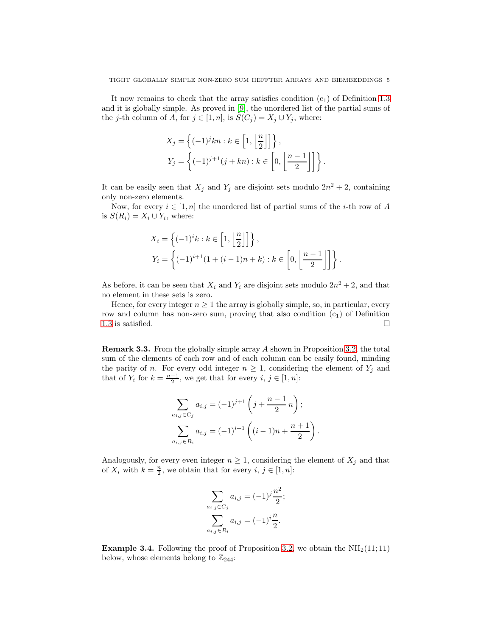It now remains to check that the array satisfies condition  $(c_1)$  of Definition [1.3](#page-1-0) and it is globally simple. As proved in [\[9\]](#page-33-10), the unordered list of the partial sums of the j-th column of A, for  $j \in [1, n]$ , is  $S(C_j) = X_j \cup Y_j$ , where:

$$
X_j = \left\{ (-1)^j k n : k \in \left[1, \left\lfloor \frac{n}{2} \right\rfloor \right] \right\},
$$
  

$$
Y_j = \left\{ (-1)^{j+1} (j + k n) : k \in \left[0, \left\lfloor \frac{n-1}{2} \right\rfloor \right] \right\}.
$$

It can be easily seen that  $X_j$  and  $Y_j$  are disjoint sets modulo  $2n^2 + 2$ , containing only non-zero elements.

Now, for every  $i \in [1, n]$  the unordered list of partial sums of the *i*-th row of A is  $S(R_i) = X_i \cup Y_i$ , where:

$$
X_i = \left\{ (-1)^i k : k \in \left[1, \left\lfloor \frac{n}{2} \right\rfloor \right] \right\},
$$
  

$$
Y_i = \left\{ (-1)^{i+1} (1 + (i-1)n + k) : k \in \left[0, \left\lfloor \frac{n-1}{2} \right\rfloor \right] \right\}.
$$

As before, it can be seen that  $X_i$  and  $Y_i$  are disjoint sets modulo  $2n^2 + 2$ , and that no element in these sets is zero.

Hence, for every integer  $n \geq 1$  the array is globally simple, so, in particular, every row and column has non-zero sum, proving that also condition  $(c_1)$  of Definition [1.3](#page-1-0) is satisfied.  $\square$ 

<span id="page-4-0"></span>Remark 3.3. From the globally simple array A shown in Proposition [3.2,](#page-3-0) the total sum of the elements of each row and of each column can be easily found, minding the parity of n. For every odd integer  $n \geq 1$ , considering the element of  $Y_j$  and that of  $Y_i$  for  $k = \frac{n-1}{2}$ , we get that for every  $i, j \in [1, n]$ :

$$
\sum_{\substack{a_{i,j} \in C_j \\ \sum_{a_{i,j} \in R_i} a_{i,j} = (-1)^{i+1} \left( j + \frac{n-1}{2} n \right);}} \sum_{a_{i,j} \in R_i} a_{i,j} = (-1)^{i+1} \left( (i-1)n + \frac{n+1}{2} \right).
$$

Analogously, for every even integer  $n \geq 1$ , considering the element of  $X_j$  and that of  $X_i$  with  $k = \frac{n}{2}$ , we obtain that for every  $i, j \in [1, n]$ :

$$
\sum_{a_{i,j}\in C_j} a_{i,j} = (-1)^j \frac{n^2}{2};
$$
  

$$
\sum_{a_{i,j}\in R_i} a_{i,j} = (-1)^i \frac{n}{2}.
$$

**Example 3.4.** Following the proof of Proposition [3.2,](#page-3-0) we obtain the  $NH<sub>2</sub>(11;11)$ below, whose elements belong to  $\mathbb{Z}_{244}$ :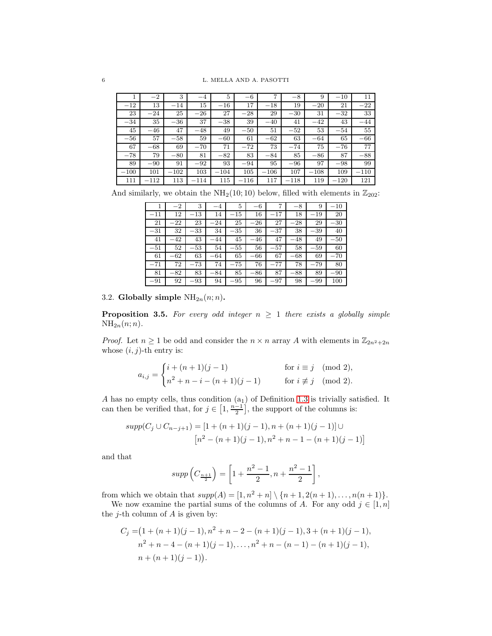|        | $-2$   | 3      | $-4$   | 5      | $-6$   | 7       | $-8$   | 9      | $-10$  | 11     |
|--------|--------|--------|--------|--------|--------|---------|--------|--------|--------|--------|
| $-12$  | 13     | $-14$  | 15     | $-16$  | 17     | $-18$   | 19     | $-20$  | 21     | $-22$  |
| 23     | $-24$  | 25     | $-26$  | 27     | $-28$  | 29      | $-30$  | 31     | $-32$  | 33     |
| $-34$  | 35     | $-36$  | 37     | $-38$  | 39     | $-40$   | 41     | $-42$  | 43     | $-44$  |
| 45     | $-46$  | 47     | $-48$  | 49     | $-50$  | 51      | $-52$  | 53     | $-54$  | 55     |
| $-56$  | 57     | $-58$  | 59     | $-60$  | 61     | $-62\,$ | 63     | $-64$  | 65     | $-66$  |
| 67     | $-68$  | 69     | $-70$  | 71     | $-72$  | 73      | $-74$  | 75     | $-76$  | 77     |
| $-78$  | 79     | $-80$  | 81     | $-82$  | 83     | $-84$   | 85     | $-86$  | 87     | $-88$  |
| 89     | $-90$  | 91     | $-92$  | 93     | $-94$  | 95      | $-96$  | 97     | $-98$  | 99     |
| $-100$ | 101    | $-102$ | 103    | $-104$ | 105    | $-106$  | 107    | $-108$ | 109    | $-110$ |
| 111    | $-112$ | 113    | $-114$ | 115    | $-116$ | 117     | $-118$ | 119    | $-120$ | 121    |

And similarly, we obtain the  $NH_2(10; 10)$  below, filled with elements in  $\mathbb{Z}_{202}$ :

|              | $^{-2}$  | 3        | -4    | 5        | $-6$  |              | $-8$     | 9        | $-10$ |
|--------------|----------|----------|-------|----------|-------|--------------|----------|----------|-------|
| $^{\rm -11}$ | 12       | $^{-13}$ | 14    | $-15$    | 16    | $^{\rm -17}$ | 18       | $-19$    | 20    |
| 21           | $-22$    | 23       | $-24$ | 25       | $-26$ | 27           | $^{-28}$ | 29       | $-30$ |
| $-31$        | 32       | $^{-33}$ | 34    | $-35$    | 36    | $^{-37}$     | 38       | $^{-39}$ | 40    |
| 41           | -42      | 43       | -44   | 45       | $-46$ | 47           | $^{-48}$ | 49       | $-50$ |
|              |          |          |       |          |       |              |          |          |       |
| $-51$        | 52       | $^{-53}$ | 54    | $-55\,$  | 56    | $^{-57}$     | 58       | $^{-59}$ | 60    |
| 61           | $^{-62}$ | 63       | -64   | 65       | $-66$ | 67           | $-68$    | 69       | $-70$ |
| $-71$        | 72       | $^{-73}$ | 74    | $^{-75}$ | 76    | -77          | 78       | -79      | 80    |
| 81           | $-82$    | 83       | $-84$ | 85       | $-86$ | 87           | $-88$    | 89       | $-90$ |

3.2. Globally simple  $NH_{2n}(n;n)$ .

<span id="page-5-0"></span>**Proposition 3.5.** For every odd integer  $n \geq 1$  there exists a globally simple  $NH_{2n}(n;n).$ 

*Proof.* Let  $n \geq 1$  be odd and consider the  $n \times n$  array A with elements in  $\mathbb{Z}_{2n^2+2n}$ whose  $(i, j)$ -th entry is:

$$
a_{i,j} = \begin{cases} i + (n+1)(j-1) & \text{for } i \equiv j \pmod{2}, \\ n^2 + n - i - (n+1)(j-1) & \text{for } i \not\equiv j \pmod{2}. \end{cases}
$$

A has no empty cells, thus condition  $(a_1)$  of Definition [1.3](#page-1-0) is trivially satisfied. It can then be verified that, for  $j \in \left[1, \frac{n-1}{2}\right]$ , the support of the columns is:

$$
supp(C_j \cup C_{n-j+1}) = [1 + (n+1)(j-1), n + (n+1)(j-1)] \cup
$$

$$
[n^2 - (n+1)(j-1), n^2 + n - 1 - (n+1)(j-1)]
$$

and that

$$
supp\left(C_{\frac{n+1}{2}}\right) = \left[1 + \frac{n^2 - 1}{2}, n + \frac{n^2 - 1}{2}\right],
$$

from which we obtain that  $supp(A) = [1, n^2 + n] \setminus \{n + 1, 2(n + 1), \ldots, n(n + 1)\}.$ 

We now examine the partial sums of the columns of A. For any odd  $j \in [1, n]$ the *j*-th column of  $A$  is given by:

$$
C_j = (1 + (n+1)(j-1), n^2 + n - 2 - (n+1)(j-1), 3 + (n+1)(j-1),
$$
  
\n
$$
n^2 + n - 4 - (n+1)(j-1), \ldots, n^2 + n - (n-1) - (n+1)(j-1),
$$
  
\n
$$
n + (n+1)(j-1)).
$$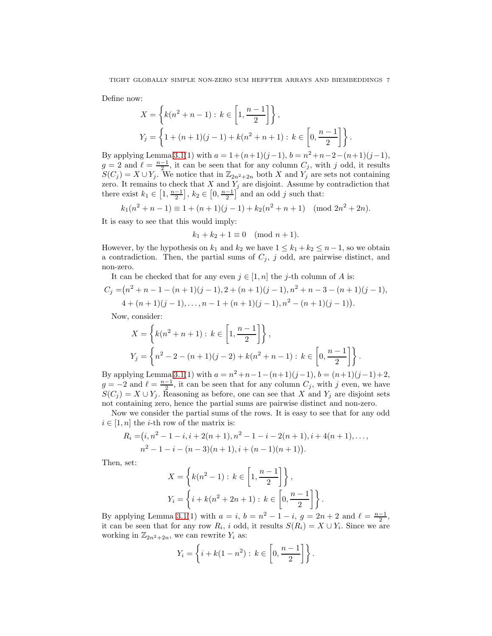Define now:

$$
X = \left\{ k(n^2 + n - 1) : k \in \left[1, \frac{n-1}{2}\right] \right\},\
$$
  

$$
Y_j = \left\{ 1 + (n+1)(j-1) + k(n^2 + n + 1) : k \in \left[0, \frac{n-1}{2}\right] \right\}.
$$

By applying Lemma [3.1\(](#page-3-1)1) with  $a = 1 + (n+1)(j-1)$ ,  $b = n^2 + n - 2 - (n+1)(j-1)$ ,  $g = 2$  and  $\ell = \frac{n-1}{2}$ , it can be seen that for any column  $C_j$ , with j odd, it results  $S(C_j) = X \cup Y_j$ . We notice that in  $\mathbb{Z}_{2n^2+2n}$  both X and  $Y_j$  are sets not containing zero. It remains to check that  $X$  and  $Y_j$  are disjoint. Assume by contradiction that there exist  $k_1 \in \left[1, \frac{n-1}{2}\right], k_2 \in \left[0, \frac{n-1}{2}\right]$  and an odd j such that:

$$
k_1(n^2 + n - 1) \equiv 1 + (n+1)(j-1) + k_2(n^2 + n + 1) \pmod{2n^2 + 2n}.
$$

It is easy to see that this would imply:

$$
k_1 + k_2 + 1 \equiv 0 \pmod{n+1}.
$$

However, by the hypothesis on  $k_1$  and  $k_2$  we have  $1 \leq k_1 + k_2 \leq n-1$ , so we obtain a contradiction. Then, the partial sums of  $C_j$ , j odd, are pairwise distinct, and non-zero.

It can be checked that for any even  $j \in [1, n]$  the j-th column of A is:

$$
C_j = (n^2 + n - 1 - (n+1)(j-1), 2 + (n+1)(j-1), n^2 + n - 3 - (n+1)(j-1),
$$
  

$$
4 + (n+1)(j-1), \ldots, n-1 + (n+1)(j-1), n^2 - (n+1)(j-1)).
$$

Now, consider:

$$
X = \left\{ k(n^2 + n + 1) : k \in \left[1, \frac{n-1}{2}\right] \right\},\
$$
  

$$
Y_j = \left\{ n^2 - 2 - (n+1)(j-2) + k(n^2 + n - 1) : k \in \left[0, \frac{n-1}{2}\right] \right\}.
$$

By applying Lemma [3.1\(](#page-3-1)1) with  $a = n^2 + n - 1 - (n+1)(j-1)$ ,  $b = (n+1)(j-1)+2$ ,  $g = -2$  and  $\ell = \frac{n-1}{2}$ , it can be seen that for any column  $C_j$ , with j even, we have  $S(C_i) = X \cup Y_i$ . Reasoning as before, one can see that X and Y<sub>i</sub> are disjoint sets not containing zero, hence the partial sums are pairwise distinct and non-zero.

Now we consider the partial sums of the rows. It is easy to see that for any odd  $i \in [1, n]$  the *i*-th row of the matrix is:

$$
R_i = (i, n^2 - 1 - i, i + 2(n + 1), n^2 - 1 - i - 2(n + 1), i + 4(n + 1), \dots, n^2 - 1 - i - (n - 3)(n + 1), i + (n - 1)(n + 1)).
$$

Then, set:

$$
X = \left\{ k(n^2 - 1) : k \in \left[1, \frac{n-1}{2}\right] \right\},\
$$
  

$$
Y_i = \left\{ i + k(n^2 + 2n + 1) : k \in \left[0, \frac{n-1}{2}\right] \right\}.
$$

By applying Lemma [3.1\(](#page-3-1)1) with  $a = i$ ,  $b = n^2 - 1 - i$ ,  $g = 2n + 2$  and  $\ell = \frac{n-1}{2}$ , it can be seen that for any row  $R_i$ , i odd, it results  $S(R_i) = X \cup Y_i$ . Since we are working in  $\mathbb{Z}_{2n^2+2n}$ , we can rewrite  $Y_i$  as:

$$
Y_i = \left\{ i + k(1 - n^2) : k \in \left[0, \frac{n-1}{2}\right] \right\}.
$$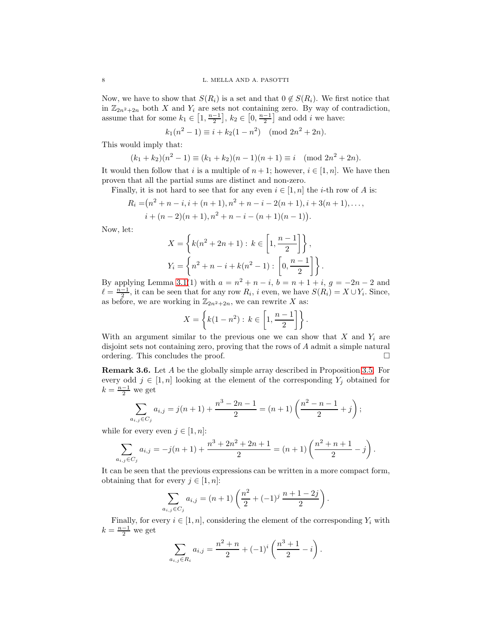Now, we have to show that  $S(R_i)$  is a set and that  $0 \notin S(R_i)$ . We first notice that in  $\mathbb{Z}_{2n^2+2n}$  both X and  $Y_i$  are sets not containing zero. By way of contradiction, assume that for some  $k_1 \in \left[1, \frac{n-1}{2}\right]$ ,  $k_2 \in \left[0, \frac{n-1}{2}\right]$  and odd *i* we have:

 $k_1(n^2 - 1) \equiv i + k_2(1 - n^2) \pmod{2n^2 + 2n}.$ 

This would imply that:

$$
(k_1 + k_2)(n^2 - 1) \equiv (k_1 + k_2)(n - 1)(n + 1) \equiv i \pmod{2n^2 + 2n}.
$$

It would then follow that i is a multiple of  $n + 1$ ; however,  $i \in [1, n]$ . We have then proven that all the partial sums are distinct and non-zero.

Finally, it is not hard to see that for any even  $i \in [1, n]$  the *i*-th row of A is:

$$
R_i = (n^2 + n - i, i + (n + 1), n^2 + n - i - 2(n + 1), i + 3(n + 1), \dots, i + (n - 2)(n + 1), n^2 + n - i - (n + 1)(n - 1)).
$$

Now, let:

$$
X = \left\{ k(n^{2} + 2n + 1) : k \in \left[1, \frac{n-1}{2}\right] \right\},\,
$$
  

$$
Y_{i} = \left\{ n^{2} + n - i + k(n^{2} - 1) : \left[0, \frac{n-1}{2}\right] \right\}.
$$

By applying Lemma [3.1\(](#page-3-1)1) with  $a = n^2 + n - i$ ,  $b = n + 1 + i$ ,  $g = -2n - 2$  and  $\ell = \frac{n-1}{2}$ , it can be seen that for any row  $R_i$ , i even, we have  $S(R_i) = X \cup Y_i$ . Since, as before, we are working in  $\mathbb{Z}_{2n^2+2n}$ , we can rewrite X as:

$$
X = \left\{ k(1 - n^2) : k \in \left[1, \frac{n-1}{2} \right] \right\}.
$$

With an argument similar to the previous one we can show that  $X$  and  $Y_i$  are disjoint sets not containing zero, proving that the rows of A admit a simple natural ordering. This concludes the proof.

<span id="page-7-0"></span>Remark 3.6. Let A be the globally simple array described in Proposition [3.5.](#page-5-0) For every odd  $j \in [1, n]$  looking at the element of the corresponding  $Y_j$  obtained for  $k = \frac{n-1}{2}$  we get

$$
\sum_{a_{i,j}\in C_j} a_{i,j} = j(n+1) + \frac{n^3 - 2n - 1}{2} = (n+1)\left(\frac{n^2 - n - 1}{2} + j\right);
$$

while for every even  $j \in [1, n]$ :

$$
\sum_{a_{i,j}\in C_j} a_{i,j} = -j(n+1) + \frac{n^3 + 2n^2 + 2n + 1}{2} = (n+1)\left(\frac{n^2 + n + 1}{2} - j\right).
$$

It can be seen that the previous expressions can be written in a more compact form, obtaining that for every  $j \in [1, n]$ :

$$
\sum_{a_{i,j}\in C_j} a_{i,j} = (n+1)\left(\frac{n^2}{2} + (-1)^j \frac{n+1-2j}{2}\right).
$$

Finally, for every  $i \in [1, n]$ , considering the element of the corresponding  $Y_i$  with  $k = \frac{n-1}{2}$  we get

$$
\sum_{a_{i,j}\in R_i} a_{i,j} = \frac{n^2+n}{2} + (-1)^i \left(\frac{n^3+1}{2} - i\right).
$$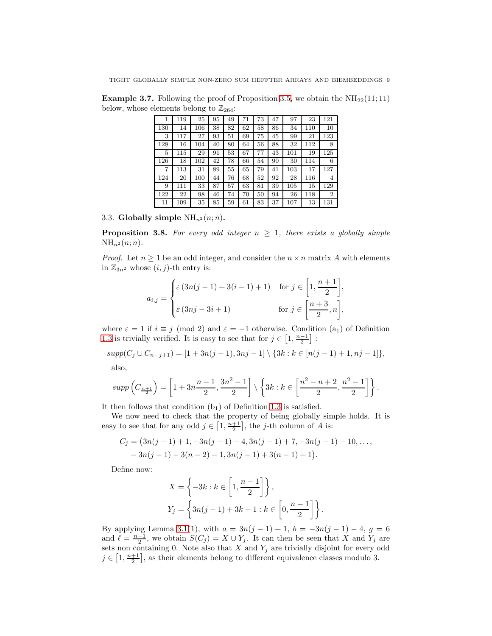**Example 3.7.** Following the proof of Proposition [3.5,](#page-5-0) we obtain the  $NH_{22}(11;11)$ below, whose elements belong to  $\mathbb{Z}_{264}$ :

| 1   | 119 | 25  | 95 | 49 | 71 | 73 | 47 | 97  | 23  | 121            |
|-----|-----|-----|----|----|----|----|----|-----|-----|----------------|
| 130 | 14  | 106 | 38 | 82 | 62 | 58 | 86 | 34  | 110 | 10             |
| 3   | 117 | 27  | 93 | 51 | 69 | 75 | 45 | 99  | 21  | 123            |
| 128 | 16  | 104 | 40 | 80 | 64 | 56 | 88 | 32  | 112 | 8              |
| 5   | 115 | 29  | 91 | 53 | 67 | 77 | 43 | 101 | 19  | 125            |
| 126 | 18  | 102 | 42 | 78 | 66 | 54 | 90 | 30  | 114 | 6              |
| 7   | 113 | 31  | 89 | 55 | 65 | 79 | 41 | 103 | 17  | 127            |
| 124 | 20  | 100 | 44 | 76 | 68 | 52 | 92 | 28  | 116 | 4              |
| 9   | 111 | 33  | 87 | 57 | 63 | 81 | 39 | 105 | 15  | 129            |
| 122 | 22  | 98  | 46 | 74 | 70 | 50 | 94 | 26  | 118 | $\overline{2}$ |
| 11  | 109 | 35  | 85 | 59 | 61 | 83 | 37 | 107 | 13  | 131            |

3.3. Globally simple  $NH_{n^2}(n;n)$ .

<span id="page-8-0"></span>**Proposition 3.8.** For every odd integer  $n \geq 1$ , there exists a globally simple  $NH_{n^2}(n;n).$ 

*Proof.* Let  $n \geq 1$  be an odd integer, and consider the  $n \times n$  matrix A with elements in  $\mathbb{Z}_{3n^2}$  whose  $(i, j)$ -th entry is:

$$
a_{i,j} = \begin{cases} \varepsilon (3n(j-1) + 3(i-1) + 1) & \text{for } j \in \left[1, \frac{n+1}{2}\right], \\ \varepsilon (3nj - 3i + 1) & \text{for } j \in \left[\frac{n+3}{2}, n\right], \end{cases}
$$

where  $\varepsilon = 1$  if  $i \equiv j \pmod{2}$  and  $\varepsilon = -1$  otherwise. Condition  $(a_1)$  of Definition [1.3](#page-1-0) is trivially verified. It is easy to see that for  $j \in \left[1, \frac{n-1}{2}\right]$ :

$$
supp(C_j \cup C_{n-j+1}) = [1 + 3n(j-1), 3nj-1] \setminus \{3k : k \in [n(j-1)+1, nj-1]\},
$$

also,

$$
supp\left(C_{\frac{n+1}{2}}\right) = \left[1 + 3n\frac{n-1}{2}, \frac{3n^2-1}{2}\right] \setminus \left\{3k : k \in \left[\frac{n^2-n+2}{2}, \frac{n^2-1}{2}\right]\right\}.
$$

It then follows that condition  $(b_1)$  of Definition [1.3](#page-1-0) is satisfied.

We now need to check that the property of being globally simple holds. It is easy to see that for any odd  $j \in \left[1, \frac{n+1}{2}\right]$ , the j-th column of A is:

$$
C_j = (3n(j-1)+1, -3n(j-1)-4, 3n(j-1)+7, -3n(j-1)-10, \dots, -3n(j-1)-3(n-2)-1, 3n(j-1)+3(n-1)+1).
$$

Define now:

$$
X = \left\{-3k : k \in \left[1, \frac{n-1}{2}\right]\right\},\
$$
  

$$
Y_j = \left\{3n(j-1) + 3k + 1 : k \in \left[0, \frac{n-1}{2}\right]\right\}.
$$

By applying Lemma [3.1\(](#page-3-1)1), with  $a = 3n(j-1) + 1$ ,  $b = -3n(j-1) - 4$ ,  $g = 6$ and  $\ell = \frac{n-1}{2}$ , we obtain  $S(C_j) = X \cup Y_j$ . It can then be seen that X and Y<sub>j</sub> are sets non containing 0. Note also that  $X$  and  $Y_j$  are trivially disjoint for every odd  $j \in [1, \frac{n+1}{2}]$ , as their elements belong to different equivalence classes modulo 3.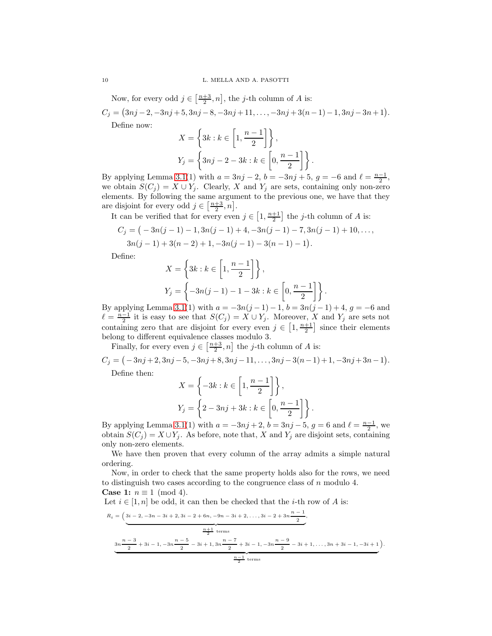Now, for every odd  $j \in \left[\frac{n+3}{2}, n\right]$ , the j-th column of A is:  $C_j = (3nj-2, -3nj+5, 3nj-8, -3nj+11, \ldots, -3nj+3(n-1)-1, 3nj-3n+1).$ Define now:

$$
X = \left\{ 3k : k \in \left[ 1, \frac{n-1}{2} \right] \right\},\
$$
  

$$
Y_j = \left\{ 3nj - 2 - 3k : k \in \left[ 0, \frac{n-1}{2} \right] \right\}.
$$

By applying Lemma [3.1\(](#page-3-1)1) with  $a = 3nj - 2$ ,  $b = -3nj + 5$ ,  $g = -6$  and  $\ell = \frac{n-1}{2}$ , we obtain  $S(C_j) = X \cup Y_j$ . Clearly, X and  $Y_j$  are sets, containing only non-zero elements. By following the same argument to the previous one, we have that they are disjoint for every odd  $j \in \left[\frac{n+3}{2}, n\right]$ .

It can be verified that for every even  $j \in \left[1, \frac{n+1}{2}\right]$  the j-th column of A is:

$$
C_j = (-3n(j-1)-1,3n(j-1)+4,-3n(j-1)-7,3n(j-1)+10,\ldots,3n(j-1)+3(n-2)+1,-3n(j-1)-3(n-1)-1).
$$

Define:

$$
X = \left\{ 3k : k \in \left[ 1, \frac{n-1}{2} \right] \right\},\
$$
  

$$
Y_j = \left\{ -3n(j-1) - 1 - 3k : k \in \left[ 0, \frac{n-1}{2} \right] \right\}.
$$

By applying Lemma [3.1\(](#page-3-1)1) with  $a = -3n(j-1) - 1$ ,  $b = 3n(j-1) + 4$ ,  $g = -6$  and  $\ell = \frac{n-1}{2}$  it is easy to see that  $S(C_j) = X \cup Y_j$ . Moreover, X and Y<sub>j</sub> are sets not containing zero that are disjoint for every even  $j \in \left[1, \frac{n+1}{2}\right]$  since their elements belong to different equivalence classes modulo 3.

Finally, for every even  $j \in \left[\frac{n+3}{2}, n\right]$  the j-th column of A is:

 $C_j = (-3nj+2, 3nj-5, -3nj+8, 3nj-11, \ldots, 3nj-3(n-1)+1, -3nj+3n-1).$ 

Define then:

$$
X = \left\{-3k : k \in \left[1, \frac{n-1}{2}\right]\right\},\
$$
  

$$
Y_j = \left\{2 - 3nj + 3k : k \in \left[0, \frac{n-1}{2}\right]\right\}.
$$

By applying Lemma [3.1\(](#page-3-1)1) with  $a = -3nj + 2$ ,  $b = 3nj - 5$ ,  $g = 6$  and  $\ell = \frac{n-1}{2}$ , we obtain  $S(C_j) = X \cup Y_j$ . As before, note that, X and Y<sub>j</sub> are disjoint sets, containing only non-zero elements.

We have then proven that every column of the array admits a simple natural ordering.

Now, in order to check that the same property holds also for the rows, we need to distinguish two cases according to the congruence class of  $n$  modulo 4. **Case 1:**  $n \equiv 1 \pmod{4}$ .

Let  $i \in [1, n]$  be odd, it can then be checked that the *i*-th row of A is:

$$
R_{i} = \left(3i - 2, -3n - 3i + 2, 3i - 2 + 6n, -9n - 3i + 2, \dots, 3i - 2 + 3n \frac{n - 1}{2}, \frac{n + 1}{2 \text{ terms}}\right)
$$
  

$$
3n \frac{n - 3}{2} + 3i - 1, -3n \frac{n - 5}{2} - 3i + 1, 3n \frac{n - 7}{2} + 3i - 1, -3n \frac{n - 9}{2} - 3i + 1, \dots, 3n + 3i - 1, -3i + 1\right).
$$
  

$$
\frac{n - 1}{2} \text{ terms}
$$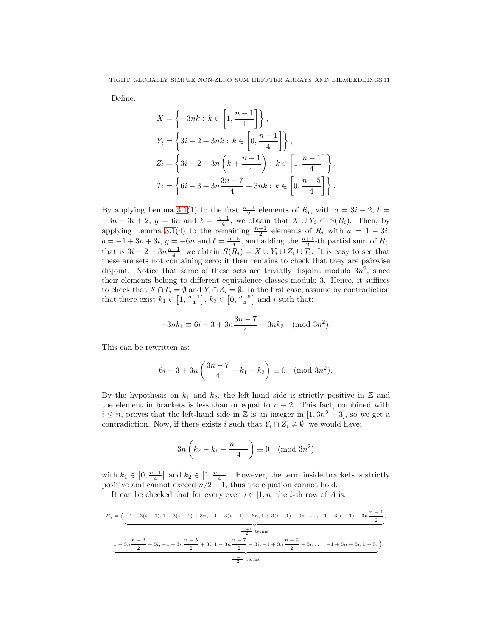Define:

$$
X = \left\{-3nk : k \in \left[1, \frac{n-1}{4}\right]\right\},\
$$
  
\n
$$
Y_i = \left\{3i - 2 + 3nk : k \in \left[0, \frac{n-1}{4}\right]\right\},\
$$
  
\n
$$
Z_i = \left\{3i - 2 + 3n\left(k + \frac{n-1}{4}\right) : k \in \left[1, \frac{n-1}{4}\right]\right\},\
$$
  
\n
$$
T_i = \left\{6i - 3 + 3n\frac{3n-7}{4} - 3nk : k \in \left[0, \frac{n-5}{4}\right]\right\}.
$$

By applying Lemma [3.1\(](#page-3-1)1) to the first  $\frac{n+1}{2}$  elements of  $R_i$ , with  $a = 3i - 2$ ,  $b =$  $-3n-3i+2$ ,  $g=6n$  and  $\ell=\frac{n-1}{4}$ , we obtain that  $X\cup Y_i\subset S(R_i)$ . Then, by applying Lemma [3.1\(](#page-3-1)4) to the remaining  $\frac{n-1}{2}$  elements of  $R_i$  with  $a = 1 - 3i$ ,  $b = -1 + 3n + 3i$ ,  $g = -6n$  and  $\ell = \frac{n-5}{4}$ , and adding the  $\frac{n+1}{2}$ -th partial sum of  $R_i$ , that is  $3i - 2 + 3n\frac{n-1}{4}$ , we obtain  $S(R_i) = X \cup Y_i \cup Z_i \cup T_i$ . It is easy to see that these are sets not containing zero; it then remains to check that they are pairwise disjoint. Notice that some of these sets are trivially disjoint modulo  $3n^2$ , since their elements belong to different equivalence classes modulo 3. Hence, it suffices to check that  $X \cap T_i = \emptyset$  and  $Y_i \cap Z_i = \emptyset$ . In the first case, assume by contradiction that there exist  $k_1 \in \left[1, \frac{n-1}{4}\right]$ ,  $k_2 \in \left[0, \frac{n-5}{4}\right]$  and i such that:

$$
-3nk_1 \equiv 6i - 3 + 3n \frac{3n - 7}{4} - 3nk_2 \pmod{3n^2}.
$$

This can be rewritten as:

$$
6i - 3 + 3n\left(\frac{3n - 7}{4} + k_1 - k_2\right) \equiv 0 \pmod{3n^2}.
$$

By the hypothesis on  $k_1$  and  $k_2$ , the left-hand side is strictly positive in  $\mathbb Z$  and the element in brackets is less than or equal to  $n-2$ . This fact, combined with  $i \leq n$ , proves that the left-hand side in  $\mathbb{Z}$  is an integer in  $[1, 3n^2 - 3]$ , so we get a contradiction. Now, if there exists i such that  $Y_i \cap Z_i \neq \emptyset$ , we would have:

$$
3n\left(k_2 - k_1 + \frac{n-1}{4}\right) \equiv 0 \pmod{3n^2}
$$

with  $k_1 \in [0, \frac{n-1}{4}]$  and  $k_2 \in [1, \frac{n-1}{4}]$ . However, the term inside brackets is strictly positive and cannot exceed  $n/2 - 1$ , thus the equation cannot hold.

It can be checked that for every even  $i \in [1, n]$  the *i*-th row of A is:

$$
R_{i} = \left(-1 - 3(i - 1), 1 + 3(i - 1) + 3n, -1 - 3(i - 1) - 6n, 1 + 3(i - 1) + 9n, \dots, -1 - 3(i - 1) - 3n\frac{n - 1}{2}, \frac{n + 1}{2} \text{ terms}\right)
$$
  

$$
\underbrace{1 - 3n\frac{n - 3}{2} - 3i, -1 + 3n\frac{n - 5}{2} + 3i, 1 - 3n\frac{n - 7}{2} - 3i, -1 + 3n\frac{n - 9}{2} + 3i, \dots, -1 + 3n + 3i, 1 - 3i}_{2}\right).
$$
  

$$
\underbrace{\frac{n - 1}{2} \text{ terms}}
$$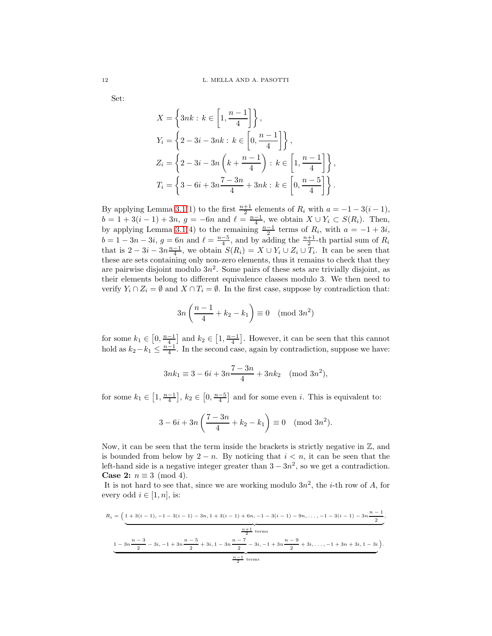Set:

$$
X = \left\{3nk : k \in \left[1, \frac{n-1}{4}\right]\right\},\
$$
  
\n
$$
Y_i = \left\{2 - 3i - 3nk : k \in \left[0, \frac{n-1}{4}\right]\right\},\
$$
  
\n
$$
Z_i = \left\{2 - 3i - 3n\left(k + \frac{n-1}{4}\right) : k \in \left[1, \frac{n-1}{4}\right]\right\},\
$$
  
\n
$$
T_i = \left\{3 - 6i + 3n\frac{7 - 3n}{4} + 3nk : k \in \left[0, \frac{n-5}{4}\right]\right\}.
$$

By applying Lemma [3.1\(](#page-3-1)1) to the first  $\frac{n+1}{2}$  elements of  $R_i$  with  $a = -1 - 3(i-1)$ ,  $b = 1 + 3(i - 1) + 3n$ ,  $g = -6n$  and  $\ell = \frac{n-1}{4}$ , we obtain  $X \cup Y_i \subset S(R_i)$ . Then, by applying Lemma [3.1\(](#page-3-1)4) to the remaining  $\frac{n-1}{2}$  terms of  $R_i$ , with  $a = -1 + 3i$ ,  $b = 1 - 3n - 3i$ ,  $g = 6n$  and  $\ell = \frac{n-5}{4}$ , and by adding the  $\frac{n+1}{2}$ -th partial sum of  $R_i$ that is  $2 - 3i - 3n\frac{n-1}{4}$ , we obtain  $S(R_i) = X \cup Y_i \cup Z_i \cup T_i$ . It can be seen that these are sets containing only non-zero elements, thus it remains to check that they are pairwise disjoint modulo  $3n^2$ . Some pairs of these sets are trivially disjoint, as their elements belong to different equivalence classes modulo 3. We then need to verify  $Y_i \cap Z_i = \emptyset$  and  $X \cap T_i = \emptyset$ . In the first case, suppose by contradiction that:

$$
3n\left(\frac{n-1}{4} + k_2 - k_1\right) \equiv 0 \pmod{3n^2}
$$

for some  $k_1 \in [0, \frac{n-1}{4}]$  and  $k_2 \in [1, \frac{n-1}{4}]$ . However, it can be seen that this cannot hold as  $k_2 - k_1 \leq \frac{n-1}{4}$ . In the second case, again by contradiction, suppose we have:

$$
3nk_1 \equiv 3 - 6i + 3n \frac{7 - 3n}{4} + 3nk_2 \pmod{3n^2},
$$

for some  $k_1 \in \left[1, \frac{n-1}{4}\right], k_2 \in \left[0, \frac{n-5}{4}\right]$  and for some even *i*. This is equivalent to:

$$
3 - 6i + 3n\left(\frac{7 - 3n}{4} + k_2 - k_1\right) \equiv 0 \pmod{3n^2}.
$$

Now, it can be seen that the term inside the brackets is strictly negative in  $\mathbb{Z}$ , and is bounded from below by  $2 - n$ . By noticing that  $i < n$ , it can be seen that the left-hand side is a negative integer greater than  $3 - 3n^2$ , so we get a contradiction. Case 2:  $n \equiv 3 \pmod{4}$ .

It is not hard to see that, since we are working modulo  $3n^2$ , the *i*-th row of A, for every odd  $i \in [1, n]$ , is:

$$
R_{i} = \left(\underbrace{1+3(i-1), -1-3(i-1)-3n, 1+3(i-1)+6n, -1-3(i-1)-9n, \dots, -1-3(i-1)-3n\frac{n-1}{2}}_{2}\right)
$$
  

$$
\underbrace{1-3n\frac{n-3}{2}-3i, -1+3n\frac{n-5}{2}+3i, 1-3n\frac{n-7}{2}-3i, -1+3n\frac{n-9}{2}+3i, \dots, -1+3n+3i, 1-3i}_{2}\right).
$$
  

$$
\underbrace{1-3n\frac{n-3}{2}-3i, -1+3n\frac{n-5}{2}+3i, 1-3n\frac{n-7}{2}-3i, -1+3n\frac{n-9}{2}+3i, \dots, -1+3n+3i, 1-3i}_{2}\right).
$$

,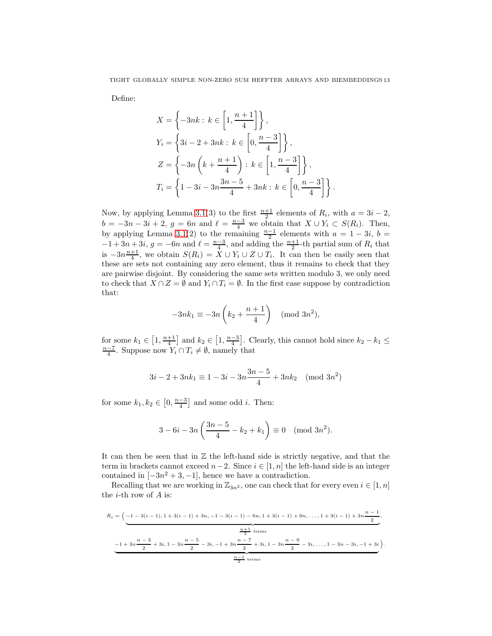Define:

$$
X = \left\{-3nk : k \in \left[1, \frac{n+1}{4}\right]\right\},\
$$
  
\n
$$
Y_i = \left\{3i - 2 + 3nk : k \in \left[0, \frac{n-3}{4}\right]\right\},\
$$
  
\n
$$
Z = \left\{-3n\left(k + \frac{n+1}{4}\right) : k \in \left[1, \frac{n-3}{4}\right]\right\},\
$$
  
\n
$$
T_i = \left\{1 - 3i - 3n\frac{3n-5}{4} + 3nk : k \in \left[0, \frac{n-3}{4}\right]\right\}.
$$

Now, by applying Lemma [3.1\(](#page-3-1)3) to the first  $\frac{n+1}{2}$  elements of  $R_i$ , with  $a = 3i - 2$ ,  $b = -3n - 3i + 2$ ,  $g = 6n$  and  $\ell = \frac{n-3}{4}$  we obtain that  $X \cup Y_i \subset S(R_i)$ . Then, by applying Lemma [3.1\(](#page-3-1)2) to the remaining  $\frac{n-1}{2}$  elements with  $a = 1 - 3i$ ,  $b =$  $-1+3n+3i$ ,  $g=-6n$  and  $\ell=\frac{n-3}{4}$ , and adding the  $\frac{n+1}{2}$ -th partial sum of  $R_i$  that is  $-3n\frac{n+1}{4}$ , we obtain  $S(R_i) = X \cup Y_i \cup Z \cup T_i$ . It can then be easily seen that these are sets not containing any zero element, thus it remains to check that they are pairwise disjoint. By considering the same sets written modulo 3, we only need to check that  $X \cap Z = \emptyset$  and  $Y_i \cap T_i = \emptyset$ . In the first case suppose by contradiction that:

$$
-3nk_1 \equiv -3n\left(k_2 + \frac{n+1}{4}\right) \pmod{3n^2},
$$

for some  $k_1 \in [1, \frac{n+1}{4}]$  and  $k_2 \in [1, \frac{n-3}{4}]$ . Clearly, this cannot hold since  $k_2 - k_1 \le \frac{n-7}{4}$ . Suppose now  $Y_i \cap T_i \ne \emptyset$ , namely that

$$
3i - 2 + 3nk_1 \equiv 1 - 3i - 3n \frac{3n - 5}{4} + 3nk_2 \pmod{3n^2}
$$

for some  $k_1, k_2 \in \left[0, \frac{n-3}{4}\right]$  and some odd *i*. Then:

$$
3 - 6i - 3n\left(\frac{3n-5}{4} - k_2 + k_1\right) \equiv 0 \pmod{3n^2}.
$$

It can then be seen that in  $Z$  the left-hand side is strictly negative, and that the term in brackets cannot exceed  $n-2$ . Since  $i \in [1, n]$  the left-hand side is an integer contained in  $[-3n^2+3,-1]$ , hence we have a contradiction.

Recalling that we are working in  $\mathbb{Z}_{3n^2}$ , one can check that for every even  $i \in [1, n]$ the  $i$ -th row of  $A$  is:

$$
R_{i} = \left(-1 - 3(i - 1), 1 + 3(i - 1) + 3n, -1 - 3(i - 1) - 6n, 1 + 3(i - 1) + 9n, \dots, 1 + 3(i - 1) + 3n\frac{n - 1}{2}, \frac{n + 1}{2} \text{ terms} \right)
$$
  

$$
-1 + 3n\frac{n - 3}{2} + 3i, 1 - 3n\frac{n - 5}{2} - 3i, -1 + 3n\frac{n - 7}{2} + 3i, 1 - 3n\frac{n - 9}{2} - 3i, \dots, 1 - 3n - 3i, -1 + 3i\right)
$$
  

$$
\frac{n - 1}{2} \text{ terms}
$$

.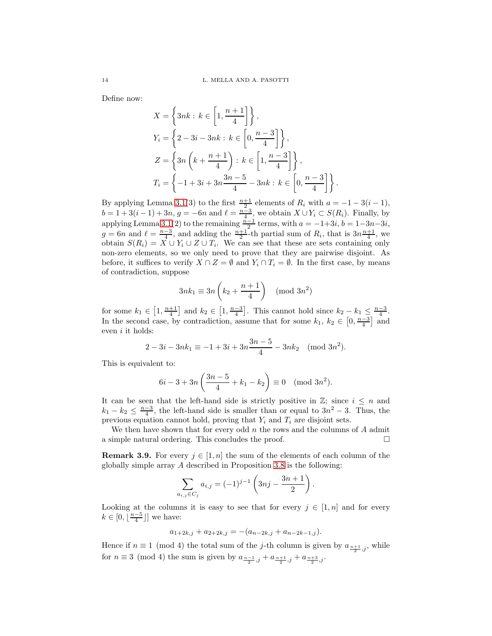Define now:

$$
X = \left\{3nk : k \in \left[1, \frac{n+1}{4}\right]\right\},\
$$
  
\n
$$
Y_i = \left\{2 - 3i - 3nk : k \in \left[0, \frac{n-3}{4}\right]\right\},\
$$
  
\n
$$
Z = \left\{3n\left(k + \frac{n+1}{4}\right) : k \in \left[1, \frac{n-3}{4}\right]\right\},\
$$
  
\n
$$
T_i = \left\{-1 + 3i + 3n\frac{3n-5}{4} - 3nk : k \in \left[0, \frac{n-3}{4}\right]\right\}.
$$

By applying Lemma [3.1\(](#page-3-1)3) to the first  $\frac{n+1}{2}$  elements of  $R_i$  with  $a = -1 - 3(i-1)$ ,  $b = 1 + 3(i-1) + 3n$ ,  $g = -6n$  and  $\ell = \frac{n-3}{4}$ , we obtain  $X \cup Y_i \subset S(R_i)$ . Finally, by applying Lemma [3.1\(](#page-3-1)2) to the remaining  $\frac{n-1}{2}$  terms, with  $a = -1+3i$ ,  $b = 1-3n-3i$ ,  $g = 6n$  and  $\ell = \frac{n-3}{4}$ , and adding the  $\frac{n+1}{2}$ -th partial sum of  $R_i$ , that is  $3n\frac{n+1}{4}$ , we obtain  $S(R_i) = X \cup Y_i \cup Z \cup T_i$ . We can see that these are sets containing only non-zero elements, so we only need to prove that they are pairwise disjoint. As before, it suffices to verify  $X \cap Z = \emptyset$  and  $Y_i \cap T_i = \emptyset$ . In the first case, by means of contradiction, suppose

$$
3nk_1 \equiv 3n\left(k_2 + \frac{n+1}{4}\right) \pmod{3n^2}
$$

for some  $k_1 \in \left[1, \frac{n+1}{4}\right]$  and  $k_2 \in \left[1, \frac{n-3}{4}\right]$ . This cannot hold since  $k_2 - k_1 \leq \frac{n-3}{4}$ . In the second case, by contradiction, assume that for some  $k_1, k_2 \in [0, \frac{n-3}{4}]$  and even  $i$  it holds:

$$
2 - 3i - 3nk_1 \equiv -1 + 3i + 3n \frac{3n-5}{4} - 3nk_2 \pmod{3n^2}.
$$

This is equivalent to:

$$
6i - 3 + 3n\left(\frac{3n - 5}{4} + k_1 - k_2\right) \equiv 0 \pmod{3n^2}.
$$

It can be seen that the left-hand side is strictly positive in  $\mathbb{Z}$ ; since  $i \leq n$  and  $k_1 - k_2 \leq \frac{n-3}{4}$ , the left-hand side is smaller than or equal to  $3n^2 - 3$ . Thus, the previous equation cannot hold, proving that  $Y_i$  and  $T_i$  are disjoint sets.

We then have shown that for every odd  $n$  the rows and the columns of  $A$  admit a simple natural ordering. This concludes the proof.  $\Box$ 

<span id="page-13-0"></span>**Remark 3.9.** For every  $j \in [1, n]$  the sum of the elements of each column of the globally simple array  $A$  described in Proposition [3.8](#page-8-0) is the following:

$$
\sum_{a_{i,j}\in C_j} a_{i,j} = (-1)^{j-1} \left( 3nj - \frac{3n+1}{2} \right).
$$

Looking at the columns it is easy to see that for every  $j \in [1, n]$  and for every  $k \in [0, \lfloor \frac{n-5}{4} \rfloor]$  we have:

$$
a_{1+2k,j} + a_{2+2k,j} = -(a_{n-2k,j} + a_{n-2k-1,j}).
$$

Hence if  $n \equiv 1 \pmod{4}$  the total sum of the *j*-th column is given by  $a_{\frac{n+1}{2},j}$ , while for  $n \equiv 3 \pmod{4}$  the sum is given by  $a_{\frac{n-1}{2},j} + a_{\frac{n+1}{2},j} + a_{\frac{n+3}{2},j}$ .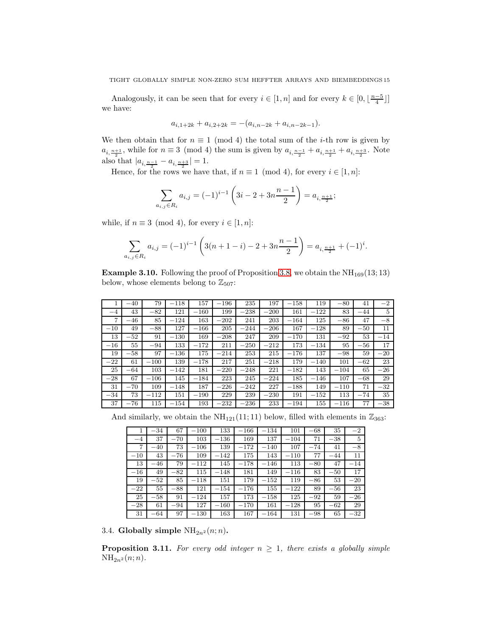Analogously, it can be seen that for every  $i \in [1, n]$  and for every  $k \in [0, \lfloor \frac{n-5}{4} \rfloor]$ we have:

$$
a_{i,1+2k} + a_{i,2+2k} = -(a_{i,n-2k} + a_{i,n-2k-1}).
$$

We then obtain that for  $n \equiv 1 \pmod{4}$  the total sum of the *i*-th row is given by  $a_{i, \frac{n+1}{2}}$ , while for  $n \equiv 3 \pmod{4}$  the sum is given by  $a_{i, \frac{n-1}{2}} + a_{i, \frac{n+1}{2}} + a_{i, \frac{n+3}{2}}$ . Note also that  $|a_{i, \frac{n-1}{2}} - a_{i, \frac{n+3}{2}}| = 1$ .

Hence, for the rows we have that, if  $n \equiv 1 \pmod{4}$ , for every  $i \in [1, n]$ :

$$
\sum_{a_{i,j}\in R_i} a_{i,j} = (-1)^{i-1} \left( 3i - 2 + 3n \frac{n-1}{2} \right) = a_{i,\frac{n+1}{2}};
$$

while, if  $n \equiv 3 \pmod{4}$ , for every  $i \in [1, n]$ :

$$
\sum_{a_{i,j}\in R_i} a_{i,j} = (-1)^{i-1} \left( 3(n+1-i) - 2 + 3n \frac{n-1}{2} \right) = a_{i,\frac{n+1}{2}} + (-1)^i.
$$

**Example 3.10.** Following the proof of Proposition [3.8,](#page-8-0) we obtain the  $NH_{169}(13;13)$ below, whose elements belong to  $\mathbb{Z}_{507}$ :

|       | $-40$   | 79     | $-118$ | 157    | $-196$ | 235    | 197    | $-158$ | 119    | $-80$  | 41    | $-2$  |
|-------|---------|--------|--------|--------|--------|--------|--------|--------|--------|--------|-------|-------|
| $-4$  | 43      | $-82$  | 121    | $-160$ | 199    | $-238$ | $-200$ | 161    | $-122$ | 83     | $-44$ | 5     |
| 7     | $-46$   | 85     | $-124$ | 163    | $-202$ | 241    | 203    | $-164$ | 125    | $-86$  | 47    | $-8$  |
| $-10$ | 49      | $-88$  | 127    | $-166$ | 205    | $-244$ | $-206$ | 167    | $-128$ | 89     | $-50$ | 11    |
| 13    | $-52$   | 91     | $-130$ | 169    | $-208$ | 247    | 209    | $-170$ | 131    | $-92$  | 53    | $-14$ |
| $-16$ | 55      | $-94$  | 133    | $-172$ | 211    | $-250$ | $-212$ | 173    | $-134$ | 95     | $-56$ | 17    |
| 19    | $-58$   | 97     | $-136$ | 175    | $-214$ | 253    | 215    | $-176$ | 137    | $-98$  | 59    | $-20$ |
| $-22$ | 61      | $-100$ | 139    | $-178$ | 217    | 251    | $-218$ | 179    | $-140$ | 101    | $-62$ | 23    |
| 25    | $-64$   | 103    | $-142$ | 181    | $-220$ | $-248$ | 221    | $-182$ | 143    | $-104$ | 65    | $-26$ |
| $-28$ | 67      | $-106$ | 145    | $-184$ | 223    | 245    | $-224$ | 185    | $-146$ | 107    | $-68$ | 29    |
| 31    | $-70$   | 109    | $-148$ | 187    | $-226$ | $-242$ | 227    | $-188$ | 149    | $-110$ | 71    | $-32$ |
| $-34$ | 73      | $-112$ | 151    | $-190$ | 229    | 239    | $-230$ | 191    | $-152$ | 113    | $-74$ | 35    |
| 37    | $-76\,$ | 115    | $-154$ | 193    | $-232$ | $-236$ | 233    | $-194$ | 155    | $-116$ | 77    | $-38$ |

And similarly, we obtain the  $NH_{121}(11; 11)$  below, filled with elements in  $\mathbb{Z}_{363}$ :

|         | -34   | 67    | $-100$ | 133    | $-166$                   | $-134$ | 101    | -68   | 35      | $-2$  |
|---------|-------|-------|--------|--------|--------------------------|--------|--------|-------|---------|-------|
| $-4$    | 37    | $-70$ | 103    | $-136$ | 169                      | 137    | $-104$ | 71    | $-38$   | 5     |
| 7       | 40    | 73    | $-106$ | 139    | 172                      | $-140$ | 107    | $-74$ | 41      | $-8$  |
| $-10$   | 43    | $-76$ | 109    | $-142$ | 175                      | 143    | $-110$ | 77    | $-44$   | 11    |
| 13      | $-46$ | 79    | $-112$ | 145    | 178<br>$\qquad \qquad -$ | $-146$ | 113    | $-80$ | 47      | $-14$ |
| $-16$   | 49    | $-82$ | 115    | $-148$ | 181                      | 149    | $-116$ | 83    | $-50$   | 17    |
| 19      | $-52$ | 85    | $-118$ | 151    | 179                      | $-152$ | 119    | $-86$ | 53      | $-20$ |
| $-22\,$ | 55    | $-88$ | 121    | $-154$ | $-176$                   | 155    | $-122$ | 89    | $-56$   | 23    |
| 25      | $-58$ | 91    | $-124$ | 157    | 173                      | $-158$ | 125    | -92   | 59      | $-26$ |
| $-28$   | 61    | $-94$ | 127    | $-160$ | $-170$                   | 161    | $-128$ | 95    | $-62\,$ | 29    |
| 31      | $-64$ | 97    | $-130$ | 163    | 167                      | $-164$ | 131    | -98   | 65      | $-32$ |

3.4. Globally simple  $NH_{2n^2}(n;n)$ .

<span id="page-14-0"></span>**Proposition 3.11.** For every odd integer  $n \geq 1$ , there exists a globally simple  $NH_{2n^2}(n;n).$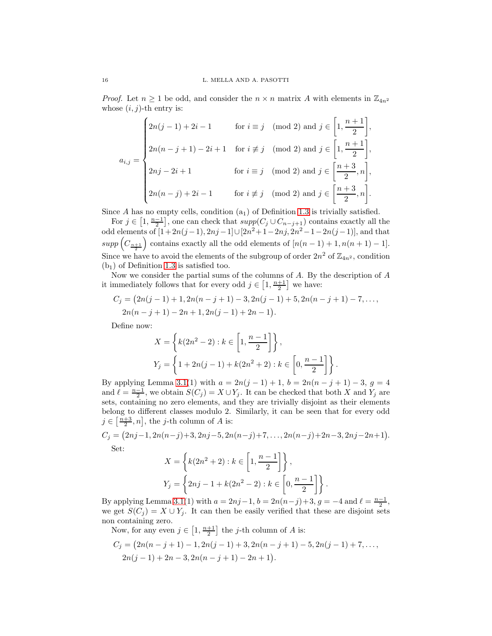*Proof.* Let  $n \geq 1$  be odd, and consider the  $n \times n$  matrix A with elements in  $\mathbb{Z}_{4n^2}$ whose  $(i, j)$ -th entry is:

$$
a_{i,j} = \begin{cases} 2n(j-1) + 2i - 1 & \text{for } i \equiv j \pmod{2} \text{ and } j \in \left[1, \frac{n+1}{2}\right], \\ 2n(n-j+1) - 2i + 1 & \text{for } i \not\equiv j \pmod{2} \text{ and } j \in \left[1, \frac{n+1}{2}\right], \\ 2nj - 2i + 1 & \text{for } i \equiv j \pmod{2} \text{ and } j \in \left[\frac{n+3}{2}, n\right], \\ 2n(n-j) + 2i - 1 & \text{for } i \not\equiv j \pmod{2} \text{ and } j \in \left[\frac{n+3}{2}, n\right]. \end{cases}
$$

Since A has no empty cells, condition  $(a_1)$  of Definition [1.3](#page-1-0) is trivially satisfied.

For  $j \in \left[1, \frac{n-1}{2}\right]$ , one can check that  $supp(C_j \cup C_{n-j+1})$  contains exactly all the odd elements of  $[1+2n(j-1), 2nj-1] \cup [2n^2+1-2nj, 2n^2-1-2n(j-1)]$ , and that  $supp\left(C_{\frac{n+1}{2}}\right)$ contains exactly all the odd elements of  $[n(n-1)+1, n(n+1)-1]$ . Since we have to avoid the elements of the subgroup of order  $2n^2$  of  $\mathbb{Z}_{4n^2}$ , condition  $(b<sub>1</sub>)$  of Definition [1.3](#page-1-0) is satisfied too.

Now we consider the partial sums of the columns of A. By the description of A it immediately follows that for every odd  $j \in \left[1, \frac{n+1}{2}\right]$  we have:

$$
C_j = (2n(j-1)+1, 2n(n-j+1)-3, 2n(j-1)+5, 2n(n-j+1)-7, \dots, 2n(n-j+1)-2n+1, 2n(j-1)+2n-1).
$$

Define now:

$$
X = \left\{ k(2n^2 - 2) : k \in \left[1, \frac{n-1}{2}\right] \right\},\
$$
  

$$
Y_j = \left\{ 1 + 2n(j-1) + k(2n^2 + 2) : k \in \left[0, \frac{n-1}{2}\right] \right\}.
$$

By applying Lemma [3.1\(](#page-3-1)1) with  $a = 2n(j - 1) + 1$ ,  $b = 2n(n - j + 1) - 3$ ,  $g = 4$ and  $\ell = \frac{n-1}{2}$ , we obtain  $S(C_j) = X \cup Y_j$ . It can be checked that both X and Y<sub>j</sub> are sets, containing no zero elements, and they are trivially disjoint as their elements belong to different classes modulo 2. Similarly, it can be seen that for every odd  $j \in \left[\frac{n+3}{2}, n\right]$ , the j-th column of A is:

$$
C_j = (2nj-1, 2n(n-j)+3, 2nj-5, 2n(n-j)+7, \dots, 2n(n-j)+2n-3, 2nj-2n+1).
$$

Set:

$$
X = \left\{ k(2n^2 + 2) : k \in \left[1, \frac{n-1}{2}\right] \right\},\
$$
  

$$
Y_j = \left\{ 2nj - 1 + k(2n^2 - 2) : k \in \left[0, \frac{n-1}{2}\right] \right\}.
$$

By applying Lemma [3.1\(](#page-3-1)1) with  $a = 2nj - 1$ ,  $b = 2n(n-j)+3$ ,  $g = -4$  and  $\ell = \frac{n-1}{2}$ , we get  $S(C_j) = X \cup Y_j$ . It can then be easily verified that these are disjoint sets non containing zero.

Now, for any even  $j \in \left[1, \frac{n+1}{2}\right]$  the j-th column of A is:

$$
C_j = (2n(n-j+1)-1, 2n(j-1)+3, 2n(n-j+1)-5, 2n(j-1)+7, \ldots, 2n(j-1)+2n-3, 2n(n-j+1)-2n+1).
$$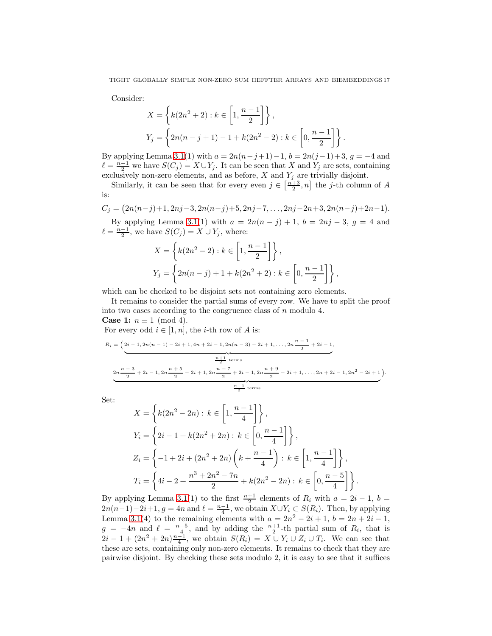Consider:

$$
X = \left\{ k(2n^2 + 2) : k \in \left[1, \frac{n-1}{2}\right] \right\},\
$$
  

$$
Y_j = \left\{ 2n(n-j+1) - 1 + k(2n^2 - 2) : k \in \left[0, \frac{n-1}{2}\right] \right\}.
$$

By applying Lemma [3.1\(](#page-3-1)1) with  $a = 2n(n-j+1)-1$ ,  $b = 2n(j-1)+3$ ,  $g = -4$  and  $\ell = \frac{n-1}{2}$  we have  $S(C_j) = X \cup Y_j$ . It can be seen that X and  $Y_j$  are sets, containing exclusively non-zero elements, and as before,  $X$  and  $Y_j$  are trivially disjoint.

Similarly, it can be seen that for every even  $j \in \left[\frac{n+3}{2}, n\right]$  the j-th column of A is:

$$
C_j = (2n(n-j)+1, 2nj-3, 2n(n-j)+5, 2nj-7, \dots, 2nj-2n+3, 2n(n-j)+2n-1).
$$

By applying Lemma [3.1\(](#page-3-1)1) with  $a = 2n(n - j) + 1$ ,  $b = 2nj - 3$ ,  $g = 4$  and  $\ell = \frac{n-1}{2}$ , we have  $S(C_j) = X \cup Y_j$ , where:

$$
X = \left\{ k(2n^{2} - 2) : k \in \left[1, \frac{n-1}{2}\right] \right\},\
$$
  

$$
Y_{j} = \left\{ 2n(n-j) + 1 + k(2n^{2} + 2) : k \in \left[0, \frac{n-1}{2}\right] \right\},\
$$

which can be checked to be disjoint sets not containing zero elements.

It remains to consider the partial sums of every row. We have to split the proof into two cases according to the congruence class of  $n$  modulo 4.

**Case 1:**  $n \equiv 1 \pmod{4}$ .

For every odd  $i \in [1, n]$ , the *i*-th row of *A* is:

$$
R_{i} = \left(2i - 1, 2n(n - 1) - 2i + 1, 4n + 2i - 1, 2n(n - 3) - 2i + 1, \dots, 2n \frac{n - 1}{2} + 2i - 1, \frac{n + 1}{2} \text{ terms} \right)
$$
  

$$
2n \frac{n - 3}{2} + 2i - 1, 2n \frac{n + 5}{2} - 2i + 1, 2n \frac{n - 7}{2} + 2i - 1, 2n \frac{n + 9}{2} - 2i + 1, \dots, 2n + 2i - 1, 2n^{2} - 2i + 1)
$$
  

$$
\frac{n - 1}{2} \text{ terms}
$$

.

Set:

$$
X = \left\{ k(2n^2 - 2n) : k \in \left[1, \frac{n-1}{4}\right] \right\},\
$$
  
\n
$$
Y_i = \left\{ 2i - 1 + k(2n^2 + 2n) : k \in \left[0, \frac{n-1}{4}\right] \right\},\
$$
  
\n
$$
Z_i = \left\{ -1 + 2i + (2n^2 + 2n) \left( k + \frac{n-1}{4} \right) : k \in \left[1, \frac{n-1}{4}\right] \right\},\
$$
  
\n
$$
T_i = \left\{ 4i - 2 + \frac{n^3 + 2n^2 - 7n}{2} + k(2n^2 - 2n) : k \in \left[0, \frac{n-5}{4}\right] \right\}.
$$

By applying Lemma [3.1\(](#page-3-1)1) to the first  $\frac{n+1}{2}$  elements of  $R_i$  with  $a = 2i - 1$ ,  $b =$  $2n(n-1)-2i+1, g=4n$  and  $\ell=\frac{n-1}{4}$ , we obtain  $X\cup Y_i\subset S(R_i)$ . Then, by applying Lemma [3.1\(](#page-3-1)4) to the remaining elements with  $a = 2n^2 - 2i + 1$ ,  $b = 2n + 2i - 1$ ,  $g = -4n$  and  $\ell = \frac{n-5}{4}$ , and by adding the  $\frac{n+1}{2}$ -th partial sum of  $R_i$ , that is  $2i-1+(2n^2+2n)\frac{n-1}{4}$ , we obtain  $S(R_i)=X\cup Y_i\cup Z_i\cup T_i$ . We can see that these are sets, containing only non-zero elements. It remains to check that they are pairwise disjoint. By checking these sets modulo 2, it is easy to see that it suffices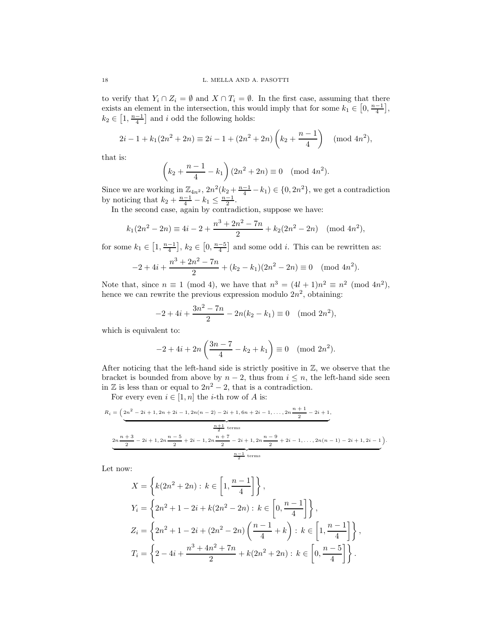to verify that  $Y_i \cap Z_i = \emptyset$  and  $X \cap T_i = \emptyset$ . In the first case, assuming that there exists an element in the intersection, this would imply that for some  $k_1 \in \left[0, \frac{n-1}{4}\right]$ ,  $k_2 \in \left[1, \frac{n-1}{4}\right]$  and i odd the following holds:

$$
2i - 1 + k_1(2n^2 + 2n) \equiv 2i - 1 + (2n^2 + 2n) \left(k_2 + \frac{n-1}{4}\right) \pmod{4n^2},
$$

that is:

$$
\left(k_2 + \frac{n-1}{4} - k_1\right)(2n^2 + 2n) \equiv 0 \pmod{4n^2}.
$$

Since we are working in  $\mathbb{Z}_{4n^2}$ ,  $2n^2(k_2 + \frac{n-1}{4} - k_1) \in \{0, 2n^2\}$ , we get a contradiction by noticing that  $k_2 + \frac{n-1}{4} - k_1 \leq \frac{n-1}{2}$ .

In the second case, again by contradiction, suppose we have:

$$
k_1(2n^2 - 2n) \equiv 4i - 2 + \frac{n^3 + 2n^2 - 7n}{2} + k_2(2n^2 - 2n) \pmod{4n^2},
$$

for some  $k_1 \in [1, \frac{n-1}{4}], k_2 \in [0, \frac{n-5}{4}]$  and some odd *i*. This can be rewritten as:

$$
-2 + 4i + \frac{n^3 + 2n^2 - 7n}{2} + (k_2 - k_1)(2n^2 - 2n) \equiv 0 \pmod{4n^2}.
$$

Note that, since  $n \equiv 1 \pmod{4}$ , we have that  $n^3 = (4l + 1)n^2 \equiv n^2 \pmod{4n^2}$ , hence we can rewrite the previous expression modulo  $2n^2$ , obtaining:

$$
-2 + 4i + \frac{3n^2 - 7n}{2} - 2n(k_2 - k_1) \equiv 0 \pmod{2n^2},
$$

which is equivalent to:

$$
-2 + 4i + 2n\left(\frac{3n-7}{4} - k_2 + k_1\right) \equiv 0 \pmod{2n^2}.
$$

After noticing that the left-hand side is strictly positive in  $\mathbb{Z}$ , we observe that the bracket is bounded from above by  $n-2$ , thus from  $i \leq n$ , the left-hand side seen in  $\mathbb Z$  is less than or equal to  $2n^2 - 2$ , that is a contradiction.

For every even  $i \in [1, n]$  the *i*-th row of A is:

$$
R_{i} = \left(2n^{2} - 2i + 1, 2n + 2i - 1, 2n(n - 2) - 2i + 1, 6n + 2i - 1, \dots, 2n \frac{n + 1}{2} - 2i + 1, \frac{n + 1}{2} - 2i + 1, \frac{n + 1}{2} \text{ terms} \right)
$$
\n
$$
2n \frac{n + 3}{2} - 2i + 1, 2n \frac{n - 5}{2} + 2i - 1, 2n \frac{n + 7}{2} - 2i + 1, 2n \frac{n - 9}{2} + 2i - 1, \dots, 2n(n - 1) - 2i + 1, 2i - 1 \right).
$$
\n
$$
\frac{n - 1}{2} \text{ terms}
$$

Let now:

$$
X = \left\{ k(2n^2 + 2n) : k \in \left[1, \frac{n-1}{4}\right] \right\},
$$
  
\n
$$
Y_i = \left\{ 2n^2 + 1 - 2i + k(2n^2 - 2n) : k \in \left[0, \frac{n-1}{4}\right] \right\},
$$
  
\n
$$
Z_i = \left\{ 2n^2 + 1 - 2i + (2n^2 - 2n) \left( \frac{n-1}{4} + k \right) : k \in \left[1, \frac{n-1}{4}\right] \right\},
$$
  
\n
$$
T_i = \left\{ 2 - 4i + \frac{n^3 + 4n^2 + 7n}{2} + k(2n^2 + 2n) : k \in \left[0, \frac{n-5}{4}\right] \right\}.
$$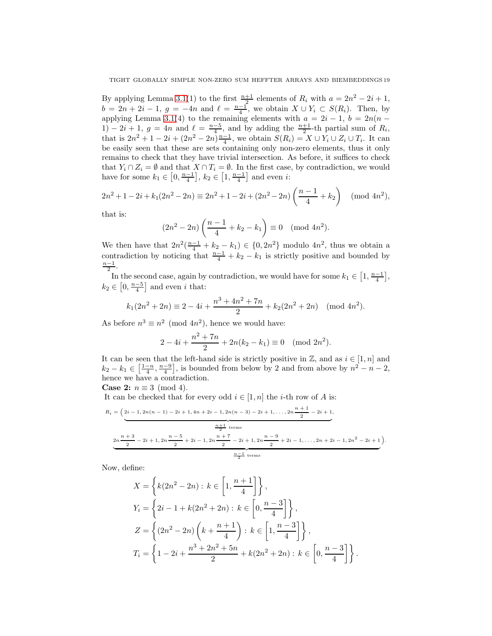By applying Lemma [3.1\(](#page-3-1)1) to the first  $\frac{n+1}{2}$  elements of  $R_i$  with  $a = 2n^2 - 2i + 1$ ,  $b = 2n + 2i - 1$ ,  $g = -4n$  and  $\ell = \frac{n-1}{4}$ , we obtain  $X \cup Y_i \subset S(R_i)$ . Then, by applying Lemma [3.1\(](#page-3-1)4) to the remaining elements with  $a = 2i - 1$ ,  $b = 2n(n - 1)$ 1) – 2i + 1, g = 4n and  $\ell = \frac{n-5}{4}$ , and by adding the  $\frac{n+1}{2}$ -th partial sum of  $R_i$ , that is  $2n^2 + 1 - 2i + (2n^2 - 2n)\frac{n-1}{4}$ , we obtain  $S(R_i) = X \cup Y_i \cup Z_i \cup T_i$ . It can be easily seen that these are sets containing only non-zero elements, thus it only remains to check that they have trivial intersection. As before, it suffices to check that  $Y_i \cap Z_i = \emptyset$  and that  $X \cap T_i = \emptyset$ . In the first case, by contradiction, we would have for some  $k_1 \in \left[0, \frac{n-1}{4}\right]$ ,  $k_2 \in \left[1, \frac{n-1}{4}\right]$  and even *i*:

$$
2n^2 + 1 - 2i + k_1(2n^2 - 2n) \equiv 2n^2 + 1 - 2i + (2n^2 - 2n) \left(\frac{n-1}{4} + k_2\right) \pmod{4n^2},
$$

that is:

$$
(2n^2 - 2n)\left(\frac{n-1}{4} + k_2 - k_1\right) \equiv 0 \pmod{4n^2}.
$$

We then have that  $2n^2(\frac{n-1}{4}+k_2-k_1) \in \{0,2n^2\}$  modulo  $4n^2$ , thus we obtain a contradiction by noticing that  $\frac{n-1}{4} + k_2 - k_1$  is strictly positive and bounded by  $\frac{n-1}{2}$ .

In the second case, again by contradiction, we would have for some  $k_1 \in \left[1, \frac{n-1}{4}\right]$ ,  $k_2 \in [0, \frac{n-5}{4}]$  and even *i* that:

$$
k_1(2n^2 + 2n) \equiv 2 - 4i + \frac{n^3 + 4n^2 + 7n}{2} + k_2(2n^2 + 2n) \pmod{4n^2}.
$$

As before  $n^3 \equiv n^2 \pmod{4n^2}$ , hence we would have:

$$
2 - 4i + \frac{n^2 + 7n}{2} + 2n(k_2 - k_1) \equiv 0 \pmod{2n^2}.
$$

It can be seen that the left-hand side is strictly positive in  $\mathbb{Z}$ , and as  $i \in [1, n]$  and  $k_2 - k_1 \in \left[\frac{1-n}{4}, \frac{n-9}{4}\right]$ , is bounded from below by 2 and from above by  $n^2 - n - 2$ , hence we have a contradiction.

**Case 2:**  $n \equiv 3 \pmod{4}$ .

It can be checked that for every odd  $i \in [1, n]$  the *i*-th row of A is:

$$
R_{i} = \left( \underbrace{2i-1, 2n(n-1)-2i+1, 4n+2i-1, 2n(n-3)-2i+1, \dots, 2n} \underbrace{\frac{n+1}{2} - 2i+1, \frac{n+1}{2} - 2i+1, \frac{n+1}{2} + \text{terms}}_{2n \frac{n+3}{2} - 2i + 1, 2n \frac{n-5}{2} + 2i - 1, 2n \frac{n+7}{2} - 2i+1, 2n \frac{n-9}{2} + 2i - 1, \dots, 2n + 2i - 1, 2n^{2} - 2i + 1} \right)
$$

.

Now, define:

$$
X = \left\{ k(2n^2 - 2n) : k \in \left[1, \frac{n+1}{4}\right] \right\},\
$$
  
\n
$$
Y_i = \left\{ 2i - 1 + k(2n^2 + 2n) : k \in \left[0, \frac{n-3}{4}\right] \right\},\
$$
  
\n
$$
Z = \left\{ (2n^2 - 2n) \left( k + \frac{n+1}{4} \right) : k \in \left[1, \frac{n-3}{4}\right] \right\},\
$$
  
\n
$$
T_i = \left\{ 1 - 2i + \frac{n^3 + 2n^2 + 5n}{2} + k(2n^2 + 2n) : k \in \left[0, \frac{n-3}{4}\right] \right\}.
$$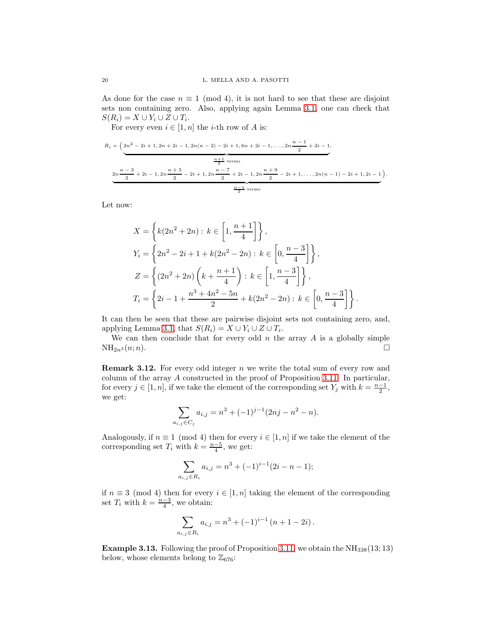As done for the case  $n \equiv 1 \pmod{4}$ , it is not hard to see that these are disjoint sets non containing zero. Also, applying again Lemma [3.1,](#page-3-1) one can check that  $S(R_i) = X \cup Y_i \cup Z \cup T_i.$ 

For every even  $i \in [1, n]$  the *i*-th row of *A* is:

$$
R_{i} = \left(2n^{2} - 2i + 1, 2n + 2i - 1, 2n(n - 2) - 2i + 1, 6n + 2i - 1, \dots, 2n \frac{n - 1}{2} + 2i - 1, \frac{n + 1}{2} \text{ terms} \right)
$$
  

$$
2n \frac{n - 3}{2} + 2i - 1, 2n \frac{n + 5}{2} - 2i + 1, 2n \frac{n - 7}{2} + 2i - 1, 2n \frac{n + 9}{2} - 2i + 1, \dots, 2n(n - 1) - 2i + 1, 2i - 1 \right).
$$
  

$$
\frac{n - 1}{2} \text{ terms}
$$

Let now:

$$
X = \left\{ k(2n^2 + 2n) : k \in \left[1, \frac{n+1}{4}\right] \right\},\
$$
  
\n
$$
Y_i = \left\{ 2n^2 - 2i + 1 + k(2n^2 - 2n) : k \in \left[0, \frac{n-3}{4}\right] \right\},\
$$
  
\n
$$
Z = \left\{ (2n^2 + 2n) \left( k + \frac{n+1}{4} \right) : k \in \left[1, \frac{n-3}{4}\right] \right\},\
$$
  
\n
$$
T_i = \left\{ 2i - 1 + \frac{n^3 + 4n^2 - 5n}{2} + k(2n^2 - 2n) : k \in \left[0, \frac{n-3}{4}\right] \right\}.
$$

It can then be seen that these are pairwise disjoint sets not containing zero, and, applying Lemma [3.1,](#page-3-1) that  $S(R_i) = X \cup Y_i \cup Z \cup T_i$ .

We can then conclude that for every odd  $n$  the array  $A$  is a globally simple  $NH_{2n^2}(n;n).$ 

<span id="page-19-0"></span>**Remark 3.12.** For every odd integer n we write the total sum of every row and column of the array A constructed in the proof of Proposition [3.11.](#page-14-0) In particular, for every  $j \in [1, n]$ , if we take the element of the corresponding set  $Y_j$  with  $k = \frac{n-1}{2}$ , we get:

$$
\sum_{a_{i,j} \in C_j} a_{i,j} = n^3 + (-1)^{j-1} (2nj - n^2 - n).
$$

Analogously, if  $n \equiv 1 \pmod{4}$  then for every  $i \in [1, n]$  if we take the element of the corresponding set  $T_i$  with  $k = \frac{n-5}{4}$ , we get:

$$
\sum_{a_{i,j}\in R_i} a_{i,j} = n^3 + (-1)^{i-1}(2i - n - 1);
$$

if  $n \equiv 3 \pmod{4}$  then for every  $i \in [1, n]$  taking the element of the corresponding set  $T_i$  with  $k = \frac{n-3}{4}$ , we obtain:

$$
\sum_{a_{i,j}\in R_i} a_{i,j} = n^3 + (-1)^{i-1} (n+1-2i).
$$

**Example 3.13.** Following the proof of Proposition [3.11,](#page-14-0) we obtain the  $NH_{338}(13;13)$ below, whose elements belong to  $\mathbb{Z}_{676}$ :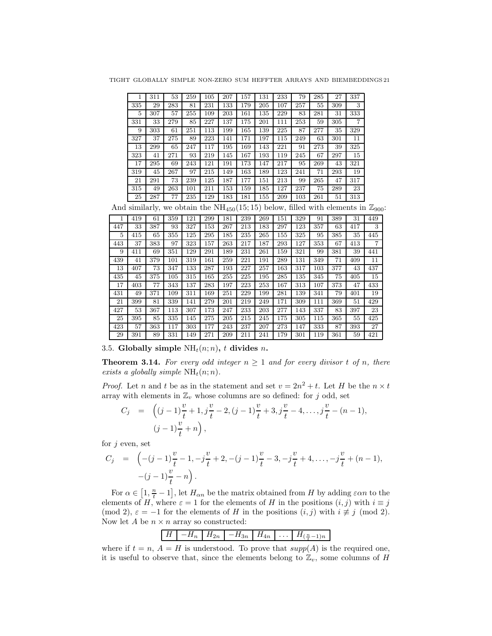TIGHT GLOBALLY SIMPLE NON-ZERO SUM HEFFTER ARRAYS AND BIEMBEDDINGS 21

|     | 311 | 53  | 259 | 105 | 207 | 157 | 131 | 233 | 79  | 285 | 27  | 337            |
|-----|-----|-----|-----|-----|-----|-----|-----|-----|-----|-----|-----|----------------|
| 335 | 29  | 283 | 81  | 231 | 133 | 179 | 205 | 107 | 257 | 55  | 309 | 3              |
| 5   | 307 | 57  | 255 | 109 | 203 | 161 | 135 | 229 | 83  | 281 | 31  | 333            |
| 331 | 33  | 279 | 85  | 227 | 137 | 175 | 201 | 111 | 253 | 59  | 305 | $\overline{7}$ |
| 9   | 303 | 61  | 251 | 113 | 199 | 165 | 139 | 225 | 87  | 277 | 35  | 329            |
| 327 | 37  | 275 | 89  | 223 | 141 | 171 | 197 | 115 | 249 | 63  | 301 | 11             |
| 13  | 299 | 65  | 247 | 117 | 195 | 169 | 143 | 221 | 91  | 273 | 39  | 325            |
| 323 | 41  | 271 | 93  | 219 | 145 | 167 | 193 | 119 | 245 | 67  | 297 | 15             |
| 17  | 295 | 69  | 243 | 121 | 191 | 173 | 147 | 217 | 95  | 269 | 43  | 321            |
| 319 | 45  | 267 | 97  | 215 | 149 | 163 | 189 | 123 | 241 | 71  | 293 | 19             |
| 21  | 291 | 73  | 239 | 125 | 187 | 177 | 151 | 213 | 99  | 265 | 47  | 317            |
| 315 | 49  | 263 | 101 | 211 | 153 | 159 | 185 | 127 | 237 | 75  | 289 | 23             |
| 25  | 287 | 77  | 235 | 129 | .83 | 181 | 155 | 209 | 103 | 261 | 51  | 313            |

And similarly, we obtain the  $NH_{450}(15; 15)$  below, filled with elements in  $\mathbb{Z}_{900}$ :

|     |     | $\cdots$ |     |     |     |     |     |     |     |     |     |     |     |     |
|-----|-----|----------|-----|-----|-----|-----|-----|-----|-----|-----|-----|-----|-----|-----|
|     | 419 | 61       | 359 | 121 | 299 | 181 | 239 | 269 | 151 | 329 | 91  | 389 | 31  | 449 |
| 447 | 33  | 387      | 93  | 327 | 153 | 267 | 213 | 183 | 297 | 123 | 357 | 63  | 417 | 3   |
| 5   | 415 | 65       | 355 | 125 | 295 | 185 | 235 | 265 | 155 | 325 | 95  | 385 | 35  | 445 |
| 443 | 37  | 383      | 97  | 323 | 157 | 263 | 217 | 187 | 293 | 127 | 353 | 67  | 413 | 7   |
| 9   | 411 | 69       | 351 | 129 | 291 | 189 | 231 | 261 | 159 | 321 | 99  | 381 | 39  | 441 |
| 439 | 41  | 379      | 101 | 319 | 161 | 259 | 221 | 191 | 289 | 131 | 349 | 71  | 409 | 11  |
| 13  | 407 | 73       | 347 | 133 | 287 | 193 | 227 | 257 | 163 | 317 | 103 | 377 | 43  | 437 |
| 435 | 45  | 375      | 105 | 315 | 165 | 255 | 225 | 195 | 285 | 135 | 345 | 75  | 405 | 15  |
| 17  | 403 | 77       | 343 | 137 | 283 | 197 | 223 | 253 | 167 | 313 | 107 | 373 | 47  | 433 |
| 431 | 49  | 371      | 109 | 311 | 169 | 251 | 229 | 199 | 281 | 139 | 341 | 79  | 401 | 19  |
| 21  | 399 | 81       | 339 | 141 | 279 | 201 | 219 | 249 | 171 | 309 | 111 | 369 | 51  | 429 |
| 427 | 53  | 367      | 113 | 307 | 173 | 247 | 233 | 203 | 277 | 143 | 337 | 83  | 397 | 23  |
| 25  | 395 | 85       | 335 | 145 | 275 | 205 | 215 | 245 | 175 | 305 | 115 | 365 | 55  | 425 |
| 423 | 57  | 363      | 117 | 303 | 177 | 243 | 237 | 207 | 273 | 147 | 333 | 87  | 393 | 27  |
| 29  | 391 | 89       | 331 | 149 | 271 | 209 | 211 | 241 | 179 | 301 | 119 | 361 | 59  | 421 |

3.5. Globally simple  $NH_t(n;n)$ , t divides n.

<span id="page-20-0"></span>**Theorem 3.14.** For every odd integer  $n \geq 1$  and for every divisor t of n, there exists a globally simple  $NH<sub>t</sub>(n; n)$ .

*Proof.* Let *n* and *t* be as in the statement and set  $v = 2n^2 + t$ . Let *H* be the  $n \times t$ array with elements in  $\mathbb{Z}_v$  whose columns are so defined: for j odd, set

$$
C_j = \left( (j-1)\frac{v}{t} + 1, j\frac{v}{t} - 2, (j-1)\frac{v}{t} + 3, j\frac{v}{t} - 4, \dots, j\frac{v}{t} - (n-1), \right.
$$
  

$$
(j-1)\frac{v}{t} + n \right),
$$

for  $j$  even, set

$$
C_j = \left( -(j-1)\frac{v}{t} - 1, -j\frac{v}{t} + 2, -(j-1)\frac{v}{t} - 3, -j\frac{v}{t} + 4, \dots, -j\frac{v}{t} + (n-1), - (j-1)\frac{v}{t} - n \right).
$$

For  $\alpha \in [1, \frac{n}{t} - 1]$ , let  $H_{\alpha n}$  be the matrix obtained from H by adding  $\varepsilon \alpha n$  to the elements of H, where  $\varepsilon = 1$  for the elements of H in the positions  $(i, j)$  with  $i \equiv j$ (mod 2),  $\varepsilon = -1$  for the elements of H in the positions  $(i, j)$  with  $i \not\equiv j \pmod{2}$ . Now let A be  $n \times n$  array so constructed:

|  |  |  | <b>Contract Contract</b><br>$\cdots$ |  |
|--|--|--|--------------------------------------|--|
|  |  |  |                                      |  |

where if  $t = n$ ,  $A = H$  is understood. To prove that  $supp(A)$  is the required one, it is useful to observe that, since the elements belong to  $\mathbb{Z}_v$ , some columns of H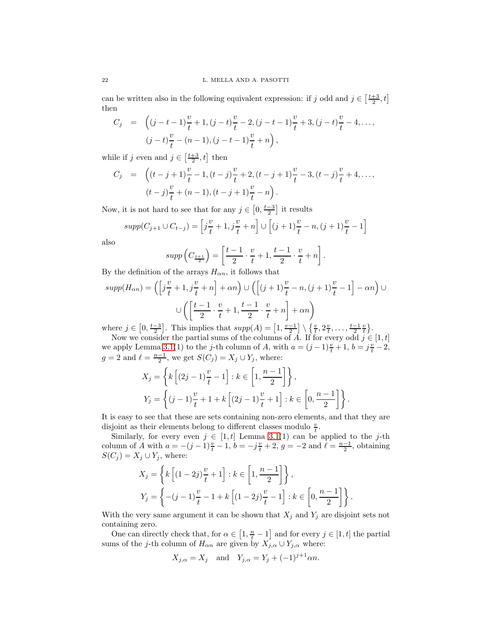can be written also in the following equivalent expression: if j odd and  $j \in \left[\frac{t+3}{2}, t\right]$ then

$$
C_j = \left( (j - t - 1) \frac{v}{t} + 1, (j - t) \frac{v}{t} - 2, (j - t - 1) \frac{v}{t} + 3, (j - t) \frac{v}{t} - 4, \dots, \right.
$$
  

$$
(j - t) \frac{v}{t} - (n - 1), (j - t - 1) \frac{v}{t} + n \right),
$$

while if j even and  $j \in \left[\frac{t+3}{2}, t\right]$  then

$$
C_j = \left( (t - j + 1) \frac{v}{t} - 1, (t - j) \frac{v}{t} + 2, (t - j + 1) \frac{v}{t} - 3, (t - j) \frac{v}{t} + 4, \dots, (t - j) \frac{v}{t} + (n - 1), (t - j + 1) \frac{v}{t} - n \right).
$$

Now, it is not hard to see that for any  $j \in \left[0, \frac{t-3}{2}\right]$  it results

$$
supp(C_{j+1} \cup C_{t-j}) = \left[j\frac{v}{t} + 1, j\frac{v}{t} + n\right] \cup \left[(j+1)\frac{v}{t} - n, (j+1)\frac{v}{t} - 1\right]
$$

also

$$
supp\left(C_{\frac{t+1}{2}}\right) = \left[\frac{t-1}{2}\cdot\frac{v}{t} + 1, \frac{t-1}{2}\cdot\frac{v}{t} + n\right].
$$

By the definition of the arrays  $H_{\alpha n}$ , it follows that

$$
supp(H_{\alpha n}) = \left( \left[ j \frac{v}{t} + 1, j \frac{v}{t} + n \right] + \alpha n \right) \cup \left( \left[ (j+1) \frac{v}{t} - n, (j+1) \frac{v}{t} - 1 \right] - \alpha n \right) \cup
$$

$$
\cup \left( \left[ \frac{t-1}{2} \cdot \frac{v}{t} + 1, \frac{t-1}{2} \cdot \frac{v}{t} + n \right] + \alpha n \right)
$$

where  $j \in [0, \frac{t-3}{2}]$ . This implies that  $supp(A) = \left[1, \frac{v-1}{2}\right] \setminus \left\{\frac{v}{t}, 2\frac{v}{t}, \ldots, \frac{t-1}{2}\frac{v}{t}\right\}$ .

Now we consider the partial sums of the columns of A. If for every odd  $j \in [1, t]$ we apply Lemma [3.1\(](#page-3-1)1) to the j-th column of A, with  $a = (j-1)\frac{v}{t} + 1$ ,  $b = j\frac{v}{t} - 2$ ,  $g = 2$  and  $\ell = \frac{n-1}{2}$ , we get  $S(C_j) = X_j \cup Y_j$ , where:

$$
X_j = \left\{ k \left[ (2j-1)\frac{v}{t} - 1 \right] : k \in \left[ 1, \frac{n-1}{2} \right] \right\},
$$
  

$$
Y_j = \left\{ (j-1)\frac{v}{t} + 1 + k \left[ (2j-1)\frac{v}{t} + 1 \right] : k \in \left[ 0, \frac{n-1}{2} \right] \right\}.
$$

It is easy to see that these are sets containing non-zero elements, and that they are disjoint as their elements belong to different classes modulo  $\frac{v}{t}$ .

Similarly, for every even  $j \in [1, t]$  Lemma [3.1\(](#page-3-1)1) can be applied to the j-th column of A with  $a = -(j-1)\frac{v}{t} - 1$ ,  $b = -j\frac{v}{t} + 2$ ,  $g = -2$  and  $\ell = \frac{n-1}{2}$ , obtaining  $S(C_j) = X_j \cup Y_j$ , where:

$$
X_j = \left\{ k \left[ (1-2j)\frac{v}{t} + 1 \right] : k \in \left[ 1, \frac{n-1}{2} \right] \right\},
$$
  

$$
Y_j = \left\{ -(j-1)\frac{v}{t} - 1 + k \left[ (1-2j)\frac{v}{t} - 1 \right] : k \in \left[ 0, \frac{n-1}{2} \right] \right\}.
$$

With the very same argument it can be shown that  $X_j$  and  $Y_j$  are disjoint sets not containing zero.

One can directly check that, for  $\alpha \in [1, \frac{n}{t} - 1]$  and for every  $j \in [1, t]$  the partial sums of the j-th column of  $H_{\alpha n}$  are given by  $\overrightarrow{X}_{j,\alpha} \cup \overrightarrow{Y}_{j,\alpha}$  where:

$$
X_{j,\alpha} = X_j \quad \text{and} \quad Y_{j,\alpha} = Y_j + (-1)^{j+1} \alpha n.
$$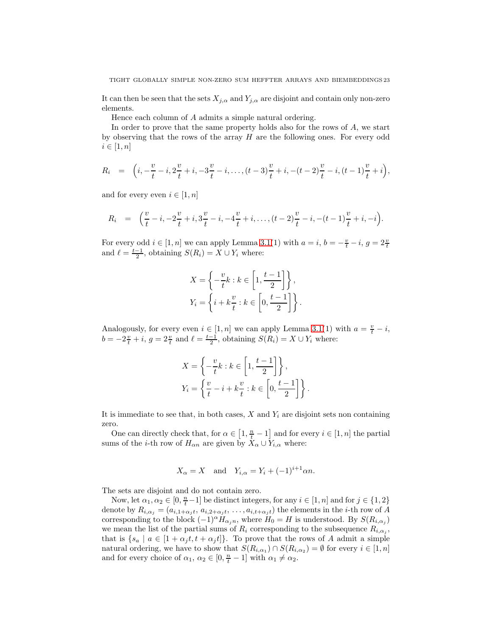It can then be seen that the sets  $X_{j,\alpha}$  and  $Y_{j,\alpha}$  are disjoint and contain only non-zero elements.

Hence each column of A admits a simple natural ordering.

In order to prove that the same property holds also for the rows of  $A$ , we start by observing that the rows of the array  $H$  are the following ones. For every odd  $i \in [1, n]$ 

$$
R_i = \left( i, -\frac{v}{t} - i, 2\frac{v}{t} + i, -3\frac{v}{t} - i, \dots, (t-3)\frac{v}{t} + i, -(t-2)\frac{v}{t} - i, (t-1)\frac{v}{t} + i \right),
$$

and for every even  $i \in [1, n]$ 

$$
R_i = \left(\frac{v}{t} - i, -2\frac{v}{t} + i, 3\frac{v}{t} - i, -4\frac{v}{t} + i, \dots, (t-2)\frac{v}{t} - i, -(t-1)\frac{v}{t} + i, -i\right).
$$

For every odd  $i \in [1, n]$  we can apply Lemma [3.1\(](#page-3-1)1) with  $a = i$ ,  $b = -\frac{v}{t} - i$ ,  $g = 2\frac{v}{t}$ and  $\ell = \frac{t-1}{2}$ , obtaining  $S(R_i) = X \cup Y_i$  where:

$$
X = \left\{ -\frac{v}{t}k : k \in \left[1, \frac{t-1}{2}\right] \right\},\
$$
  

$$
Y_i = \left\{ i + k\frac{v}{t} : k \in \left[0, \frac{t-1}{2}\right] \right\}.
$$

Analogously, for every even  $i \in [1, n]$  we can apply Lemma [3.1\(](#page-3-1)1) with  $a = \frac{v}{t} - i$ ,  $b = -2\frac{v}{t} + i$ ,  $g = 2\frac{v}{t}$  and  $\ell = \frac{t-1}{2}$ , obtaining  $S(R_i) = X \cup Y_i$  where:

$$
X = \left\{ -\frac{v}{t}k : k \in \left[1, \frac{t-1}{2}\right] \right\},\
$$
  

$$
Y_i = \left\{ \frac{v}{t} - i + k\frac{v}{t} : k \in \left[0, \frac{t-1}{2}\right] \right\}.
$$

It is immediate to see that, in both cases,  $X$  and  $Y_i$  are disjoint sets non containing zero.

One can directly check that, for  $\alpha \in [1, \frac{n}{t} - 1]$  and for every  $i \in [1, n]$  the partial sums of the *i*-th row of  $H_{\alpha n}$  are given by  $X_{\alpha} \cup Y_{i,\alpha}$  where:

$$
X_{\alpha} = X \quad \text{and} \quad Y_{i,\alpha} = Y_i + (-1)^{i+1} \alpha n.
$$

The sets are disjoint and do not contain zero.

Now, let  $\alpha_1, \alpha_2 \in [0, \frac{n}{t} - 1]$  be distinct integers, for any  $i \in [1, n]$  and for  $j \in \{1, 2\}$ denote by  $R_{i,\alpha_j} = (a_{i,1+\alpha_j t}, a_{i,2+\alpha_j t}, \ldots, a_{i,t+\alpha_j t})$  the elements in the *i*-th row of A corresponding to the block  $(-1)^\alpha \check{H}_{\alpha_j n}$ , where  $\check{H}_0 = H$  is understood. By  $S(R_{i,\alpha_j})$ we mean the list of the partial sums of  $R_i$  corresponding to the subsequence  $R_{i,\alpha_j}$ , that is  $\{s_a \mid a \in [1 + \alpha_j t, t + \alpha_j t]\}.$  To prove that the rows of A admit a simple natural ordering, we have to show that  $S(R_{i,\alpha_1}) \cap S(R_{i,\alpha_2}) = \emptyset$  for every  $i \in [1,n]$ and for every choice of  $\alpha_1, \alpha_2 \in [0, \frac{n}{t} - 1]$  with  $\alpha_1 \neq \alpha_2$ .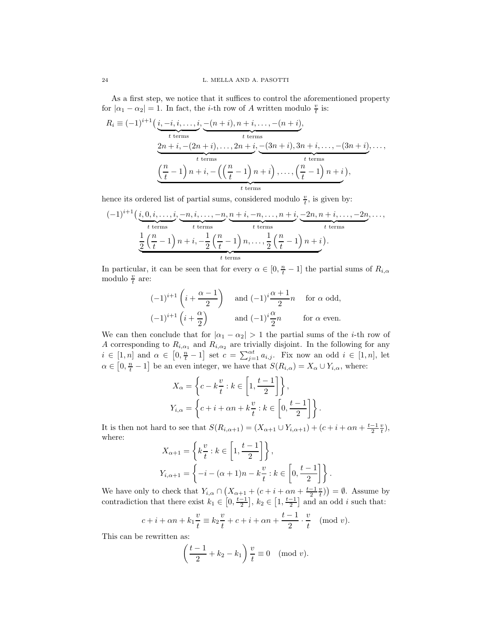As a first step, we notice that it suffices to control the aforementioned property for  $|\alpha_1 - \alpha_2| = 1$ . In fact, the *i*-th row of A written modulo  $\frac{v}{t}$  is:

$$
R_i \equiv (-1)^{i+1} \left( \underbrace{i, -i, i, \dots, i}_{t \text{ terms}}, \underbrace{-(n+i), n+i, \dots, -(n+i)}_{t \text{ terms}}, \underbrace{2n+i, -(2n+i), \dots, 2n+i, \dots, (3n+i), 3n+i, \dots, -(3n+i), \dots, \dots}_{t \text{ terms}}, \underbrace{(n-1) n+i, -\left(\left(\frac{n}{t} - 1\right)n+i\right), \dots, \left(\frac{n}{t} - 1\right)n+i}_{t \text{ terms}}, \dots, \underbrace{(n-1) n+i, \dots, (n-1) n+i}_{t \text{ terms}}, \dots, \underbrace{(n-1) n+i, \dots, (n-1) n+i}_{t \text{ terms}}, \dots, \underbrace{(n-1) n+i, \dots, (n-1) n+i}_{t \text{ terms}}, \dots, \underbrace{(n-1) n+i, \dots, (n-1) n+i}_{t \text{ terms}}, \dots, \underbrace{(n-1) n+i, \dots, (n-1) n+i}_{t \text{ terms}}, \dots, \underbrace{(n-1) n+i, \dots, (n-1) n+i}_{t \text{ terms}}, \dots, \underbrace{(n-1) n+i, \dots, (n-1) n+i}_{t \text{ terms}}, \dots, \underbrace{(n-1) n+i, \dots, (n-1) n+i}_{t \text{ terms}}, \dots, \underbrace{(n-1) n+i, \dots, (n-1) n+i}_{t \text{ terms}}, \dots, \underbrace{(n-1) n+i, \dots, (n-1) n+i}_{t \text{ terms}}, \dots, \underbrace{(n-1) n+i, \dots, (n-1) n+i}_{t \text{ terms}}, \dots, \underbrace{(n-1) n+i, \dots, (n-1) n+i}_{t \text{ terms}}, \dots, \underbrace{(n-1) n+i, \dots, (n-1) n+i}_{t \text{ terms}}, \dots, \underbrace{(n-1) n+i, \dots, (n-1) n+i}_{t \text{ terms}}, \dots, \underbrace{(n-1) n+i, \dots, (n-1) n+i}_{t \text{ terms}}, \dots, \underbrace{(n-1) n+i, \dots, (n-1) n+i}_{t \text{ terms}}, \dots, \underbrace{(n-1) n+i, \dots, (n-1) n+i}_{t \text{ terms}}, \dots, \underbrace{(n-1) n+i, \dots, (n-1) n+i}_{t \text{ terms}}, \dots, \underbrace{(n-1) n+i, \dots, (n-1) n+i}_{t \text{
$$

hence its ordered list of partial sums, considered modulo  $\frac{v}{t}$ , is given by:

$$
(-1)^{i+1} \underbrace{\left(i,0,i,\ldots,i}_{t \text{ terms}},\underbrace{-n,i,\ldots,-n}_{t \text{ terms}},\underbrace{n+i,-n,\ldots,n+i}_{t \text{ terms}},\underbrace{-2n,n+i,\ldots,-2n}_{t \text{ terms}},\ldots,\\ \underbrace{\frac{1}{2}\left(\frac{n}{t}-1\right)n+i,-\frac{1}{2}\left(\frac{n}{t}-1\right)n,\ldots,\frac{1}{2}\left(\frac{n}{t}-1\right)n+i\right)}_{t \text{ terms}}.
$$

In particular, it can be seen that for every  $\alpha \in [0, \frac{n}{t} - 1]$  the partial sums of  $R_{i,\alpha}$ modulo  $\frac{v}{t}$  are:

$$
\begin{aligned}\n(-1)^{i+1} \left( i + \frac{\alpha - 1}{2} \right) \quad & \text{and } (-1)^i \frac{\alpha + 1}{2} n \quad \text{for } \alpha \text{ odd}, \\
(-1)^{i+1} \left( i + \frac{\alpha}{2} \right) \quad & \text{and } (-1)^i \frac{\alpha}{2} n \quad \text{for } \alpha \text{ even}.\n\end{aligned}
$$

We can then conclude that for  $|\alpha_1 - \alpha_2| > 1$  the partial sums of the *i*-th row of A corresponding to  $R_{i,\alpha_1}$  and  $R_{i,\alpha_2}$  are trivially disjoint. In the following for any  $i \in [1, n]$  and  $\alpha \in [0, \frac{n}{t} - 1]$  set  $c = \sum_{j=1}^{at} a_{i,j}$ . Fix now an odd  $i \in [1, n]$ , let  $\alpha \in [0, \frac{n}{t} - 1]$  be an even integer, we have that  $S(R_{i,\alpha}) = X_{\alpha} \cup Y_{i,\alpha}$ , where:

$$
X_{\alpha} = \left\{ c - k \frac{v}{t} : k \in \left[ 1, \frac{t - 1}{2} \right] \right\},\
$$
  

$$
Y_{i,\alpha} = \left\{ c + i + \alpha n + k \frac{v}{t} : k \in \left[ 0, \frac{t - 1}{2} \right] \right\}.
$$

It is then not hard to see that  $S(R_{i,\alpha+1}) = (X_{\alpha+1} \cup Y_{i,\alpha+1}) + (c+i+\alpha n+\frac{t-1}{2}\frac{v}{t}),$ where:

$$
X_{\alpha+1} = \left\{ k \frac{v}{t} : k \in \left[ 1, \frac{t-1}{2} \right] \right\},\
$$
  

$$
Y_{i,\alpha+1} = \left\{ -i - (\alpha+1)n - k \frac{v}{t} : k \in \left[ 0, \frac{t-1}{2} \right] \right\}.
$$

We have only to check that  $Y_{i,\alpha} \cap (X_{\alpha+1} + (c+i+\alpha n+\frac{t-1}{2}\frac{v}{t})) = \emptyset$ . Assume by contradiction that there exist  $k_1 \in [0, \frac{t-1}{2}], k_2 \in [1, \frac{t-1}{2}]$  and an odd *i* such that:

$$
c + i + \alpha n + k_1 \frac{v}{t} \equiv k_2 \frac{v}{t} + c + i + \alpha n + \frac{t-1}{2} \cdot \frac{v}{t} \pmod{v}.
$$

This can be rewritten as:

$$
\left(\frac{t-1}{2} + k_2 - k_1\right)\frac{v}{t} \equiv 0 \pmod{v}.
$$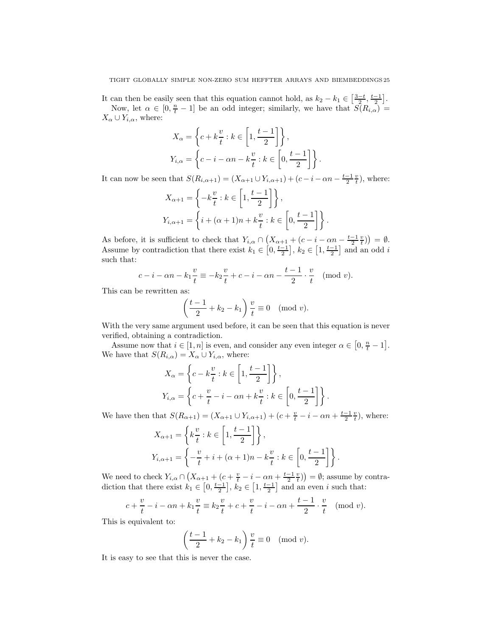It can then be easily seen that this equation cannot hold, as  $k_2 - k_1 \in \left[\frac{3-t}{2}, \frac{t-1}{2}\right]$ . Now, let  $\alpha \in [0, \frac{n}{t} - 1]$  be an odd integer; similarly, we have that  $S(R_{i,\alpha}) =$  $X_{\alpha} \cup Y_{i,\alpha}$ , where:

$$
X_{\alpha} = \left\{ c + k\frac{v}{t} : k \in \left[ 1, \frac{t-1}{2} \right] \right\},\,
$$
  

$$
Y_{i,\alpha} = \left\{ c - i - \alpha n - k\frac{v}{t} : k \in \left[ 0, \frac{t-1}{2} \right] \right\}.
$$

It can now be seen that  $S(R_{i,\alpha+1}) = (X_{\alpha+1} \cup Y_{i,\alpha+1}) + (c - i - \alpha n - \frac{t-1}{2} \frac{v}{t}),$  where:

$$
X_{\alpha+1} = \left\{-k\frac{v}{t} : k \in \left[1, \frac{t-1}{2}\right]\right\},\
$$
  

$$
Y_{i,\alpha+1} = \left\{i + (\alpha+1)n + k\frac{v}{t} : k \in \left[0, \frac{t-1}{2}\right]\right\}.
$$

As before, it is sufficient to check that  $Y_{i,\alpha} \cap (X_{\alpha+1} + (c - i - \alpha n - \frac{t-1}{2} \frac{v}{t})) = \emptyset$ . Assume by contradiction that there exist  $k_1 \in [0, \frac{t-1}{2}], k_2 \in [1, \frac{t-1}{2}]$  and an odd i such that:

$$
c - i - \alpha n - k_1 \frac{v}{t} \equiv -k_2 \frac{v}{t} + c - i - \alpha n - \frac{t-1}{2} \cdot \frac{v}{t}
$$
 (mod  $v$ ).

This can be rewritten as:

$$
\left(\frac{t-1}{2} + k_2 - k_1\right) \frac{v}{t} \equiv 0 \pmod{v}.
$$

With the very same argument used before, it can be seen that this equation is never verified, obtaining a contradiction.

Assume now that  $i \in [1, n]$  is even, and consider any even integer  $\alpha \in [0, \frac{n}{t} - 1]$ . We have that  $S(R_{i,\alpha}) = X_{\alpha} \cup Y_{i,\alpha}$ , where:

$$
X_{\alpha} = \left\{ c - k \frac{v}{t} : k \in \left[ 1, \frac{t - 1}{2} \right] \right\},\
$$
  

$$
Y_{i,\alpha} = \left\{ c + \frac{v}{t} - i - \alpha n + k \frac{v}{t} : k \in \left[ 0, \frac{t - 1}{2} \right] \right\}.
$$

We have then that  $S(R_{\alpha+1}) = (X_{\alpha+1} \cup Y_{i,\alpha+1}) + (c + \frac{v}{t} - i - \alpha n + \frac{t-1}{2} \frac{v}{t}),$  where:

$$
X_{\alpha+1} = \left\{ k \frac{v}{t} : k \in \left[ 1, \frac{t-1}{2} \right] \right\},\
$$
  

$$
Y_{i,\alpha+1} = \left\{ -\frac{v}{t} + i + (\alpha+1)n - k\frac{v}{t} : k \in \left[ 0, \frac{t-1}{2} \right] \right\}.
$$

We need to check  $Y_{i,\alpha} \cap (X_{\alpha+1} + (c + \frac{v}{t} - i - \alpha n + \frac{t-1}{2} \frac{v}{t})) = \emptyset$ ; assume by contradiction that there exist  $k_1 \in [0, \frac{t-1}{2}], k_2 \in [1, \frac{t-1}{2}]$  and an even i such that:

$$
c + \frac{v}{t} - i - \alpha n + k_1 \frac{v}{t} \equiv k_2 \frac{v}{t} + c + \frac{v}{t} - i - \alpha n + \frac{t-1}{2} \cdot \frac{v}{t} \pmod{v}.
$$

This is equivalent to:

$$
\left(\frac{t-1}{2} + k_2 - k_1\right) \frac{v}{t} \equiv 0 \pmod{v}.
$$

It is easy to see that this is never the case.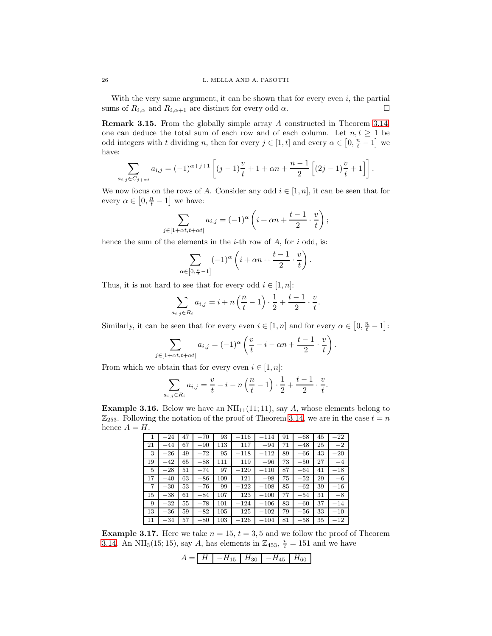With the very same argument, it can be shown that for every even  $i$ , the partial sums of  $R_{i,\alpha}$  and  $R_{i,\alpha+1}$  are distinct for every odd  $\alpha$ .

<span id="page-25-0"></span>Remark 3.15. From the globally simple array A constructed in Theorem [3.14,](#page-20-0) one can deduce the total sum of each row and of each column. Let  $n, t \geq 1$  be odd integers with t dividing n, then for every  $j \in [1, t]$  and every  $\alpha \in [0, \frac{n}{t} - 1]$  we have:

$$
\sum_{a_{i,j}\in C_{j+\alpha t}} a_{i,j} = (-1)^{\alpha+j+1} \left[ (j-1)\frac{v}{t} + 1 + \alpha n + \frac{n-1}{2} \left[ (2j-1)\frac{v}{t} + 1 \right] \right].
$$

We now focus on the rows of A. Consider any odd  $i \in [1, n]$ , it can be seen that for every  $\alpha \in [0, \frac{n}{t} - 1]$  we have:

$$
\sum_{j\in[1+\alpha t,t+\alpha t]} a_{i,j} = (-1)^{\alpha} \left( i + \alpha n + \frac{t-1}{2} \cdot \frac{v}{t} \right);
$$

hence the sum of the elements in the  $i$ -th row of  $A$ , for  $i$  odd, is:

$$
\sum_{\alpha \in [0, \frac{n}{t}-1]} (-1)^{\alpha} \left( i + \alpha n + \frac{t-1}{2} \cdot \frac{v}{t} \right).
$$

Thus, it is not hard to see that for every odd  $i \in [1,n]$ :

$$
\sum_{a_{i,j}\in R_i} a_{i,j} = i + n\left(\frac{n}{t} - 1\right) \cdot \frac{1}{2} + \frac{t-1}{2} \cdot \frac{v}{t}.
$$

Similarly, it can be seen that for every even  $i \in [1, n]$  and for every  $\alpha \in [0, \frac{n}{t} - 1]$ :

$$
\sum_{j \in [1+\alpha t, t+\alpha t]} a_{i,j} = (-1)^{\alpha} \left( \frac{v}{t} - i - \alpha n + \frac{t-1}{2} \cdot \frac{v}{t} \right).
$$

From which we obtain that for every even  $i \in [1, n]$ :

$$
\sum_{a_{i,j}\in R_i} a_{i,j} = \frac{v}{t} - i - n\left(\frac{n}{t} - 1\right) \cdot \frac{1}{2} + \frac{t-1}{2} \cdot \frac{v}{t}.
$$

**Example 3.16.** Below we have an  $NH_{11}(11;11)$ , say A, whose elements belong to  $\mathbb{Z}_{253}$ . Following the notation of the proof of Theorem [3.14,](#page-20-0) we are in the case  $t = n$ hence  $A = H$ .

|    | $-24$   | 47 | $-70$ | 93      | $-116$ | $-114$ | 91 | $-68$ | 45 | $-22$    |
|----|---------|----|-------|---------|--------|--------|----|-------|----|----------|
| 21 | $-44$   | 67 | $-90$ | 113     | 117    | $-94$  | 71 | $-48$ | 25 | $-2$     |
| 3  | $-26$   | 49 | $-72$ | 95      | $-118$ | $-112$ | 89 | $-66$ | 43 | $-20$    |
| 19 | $-42$   | 65 | $-88$ | 111     | 119    | $-96$  | 73 | $-50$ | 27 | $-4$     |
| 5  | $-28$   | 51 | $-74$ | 97      | $-120$ | $-110$ | 87 | $-64$ | 41 | $^{-18}$ |
| 17 | $-40$   | 63 | $-86$ | 109     | 121    | $-98$  | 75 | $-52$ | 29 | $-6$     |
| 7  | $-30$   | 53 | $-76$ | 99      | $-122$ | $-108$ | 85 | $-62$ | 39 | $^{-16}$ |
| 15 | $-38$   | 61 | $-84$ | 107     | 123    | $-100$ | 77 | $-54$ | 31 | $-8$     |
| 9  | $-32\,$ | 55 | $-78$ | 101     | $-124$ | $-106$ | 83 | $-60$ | 37 | $-14$    |
| 13 | $-36$   | 59 | $-82$ | $105\,$ | 125    | $-102$ | 79 | $-56$ | 33 | $-10$    |
| 11 | $-34$   | 57 | $-80$ | 103     | $-126$ | $-104$ | 81 | $-58$ | 35 | $^{-12}$ |

**Example 3.17.** Here we take  $n = 15$ ,  $t = 3, 5$  and we follow the proof of Theorem [3.14.](#page-20-0) An NH<sub>3</sub>(15; 15), say A, has elements in  $\mathbb{Z}_{453}$ ,  $\frac{v}{t} = 151$  and we have

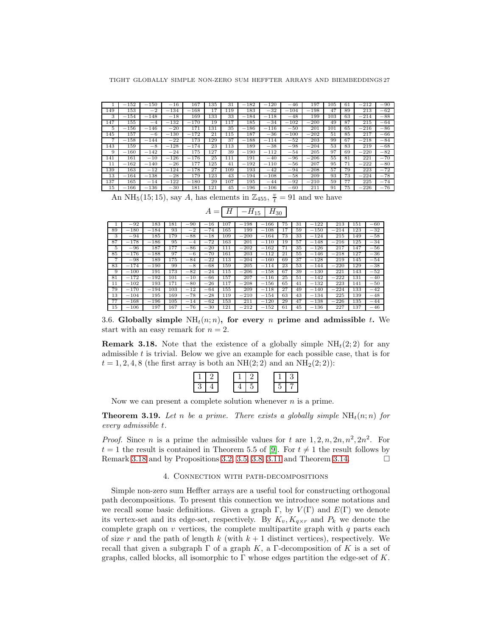|     | $-152$   | 150<br>$\overline{\phantom{a}}$ | $-16$  | 167    | 135 | 31  | 182<br>$\overline{\phantom{a}}$ | $-120$ | $-46$  | 197         | 105 | 61              | $-212$ | $-90$ |
|-----|----------|---------------------------------|--------|--------|-----|-----|---------------------------------|--------|--------|-------------|-----|-----------------|--------|-------|
| 149 | 153      | $^{-2}$                         | $-134$ | $-168$ | 17  | 119 | 183                             | $-32$  | $-104$ | $-198$      | 47  | 89              | 213    | $-62$ |
| 3   | $-154$   | $-148$                          | $-18$  | 169    | 133 | 33  | $-184$                          | $-118$ | $-48$  | 199         | 103 | 63              | $-214$ | $-88$ |
| 147 | 155      | $-4$                            | $-132$ | $-170$ | 19  | 117 | 185                             | $-34$  | $-102$ | $-200$<br>- | 49  | 87              | 215    | $-64$ |
| 5   | 156<br>- | $-146$                          | $-20$  | 171    | 131 | 35  | 186<br>-                        | $-116$ | $-50$  | 201         | 101 | 65              | $-216$ | $-86$ |
| 145 | 157      | $-6$                            | $-130$ | $-172$ | 21  | 115 | 187                             | $-36$  | $-100$ | $-202$      | 51  | 85              | 217    | $-66$ |
| 7   | $-158$   | $-144$                          | $-22$  | 173    | 129 | 37  | $-188$                          | $-114$ | $-52$  | 203         | 99  | 67              | $-218$ | $-84$ |
| 143 | 159      | $-8$                            | $-128$ | $-174$ | 23  | 113 | 189                             | $-38$  | $-98$  | $-204$      | 53  | 83              | 219    | $-68$ |
| 9   | $-160$   | $-142$                          | $-24$  | 175    | 127 | 39  | $-190$                          | $-112$ | $-54$  | 205         | 97  | 69              | $-220$ | $-82$ |
| 141 | 161      | $-10$                           | $-126$ | $-176$ | 25  | 111 | 191                             | $-40$  | $-96$  | $-206$      | 55  | 81              | 221    | $-70$ |
| 11  | $-162$   | $-140$                          | $-26$  | 177    | 125 | 41  | 192<br>-                        | $-110$ | $-56$  | 207         | 95  | 71              | $-222$ | $-80$ |
| 139 | 163      | 12<br>-                         | $-124$ | $-178$ | 27  | 109 | 193                             | $-42$  | $-94$  | $-208$      | 57  | 79              | 223    | $-72$ |
| 13  | $-164$   | $-138$                          | $-28$  | 179    | 123 | 43  | 194<br>-                        | $-108$ | $-58$  | 209         | 93  | 73              | $-224$ | $-78$ |
| 137 | 165      | $-14$                           | $-122$ | $-180$ | 29  | 107 | 195                             | $-44$  | $-92$  | $-210$      | 59  | 77              | 225    | $-74$ |
| 15  | $-166$   | $-136$                          | $-30$  | 181    | 121 | 45  | $-196$                          | $-106$ | $-60$  | 211         | 91  | $7\overline{5}$ | $-226$ | $-76$ |

An NH<sub>5</sub>(15, 15), say A, has elements in  $\mathbb{Z}_{455}$ ,  $\frac{v}{t} = 91$  and we have

|    | $-92$                           | 183                             | 181 | 90<br>-  | 16<br>-                        | 107 | $-198$ | $-166$ | 75 | 31 | 122<br>- | 213    | 151 | $-60$ |
|----|---------------------------------|---------------------------------|-----|----------|--------------------------------|-----|--------|--------|----|----|----------|--------|-----|-------|
| 89 | $-180$                          | $-184$                          | 93  | $^{-2}$  | $-74$                          | 165 | 199    | $-108$ | 17 | 59 | $-150$   | $-214$ | 123 | $-32$ |
| 3  | $-94$                           | 185                             | 179 | $-88$    | $-18$                          | 109 | $-200$ | $-164$ | 73 | 33 | $-124$   | 215    | 149 | $-58$ |
| 87 | $-178$                          | $-186$                          | 95  | $-4$     | $-72$                          | 163 | 201    | $-110$ | 19 | 57 | $-148$   | $-216$ | 125 | $-34$ |
| 5  | $-96$                           | 187                             | 177 | 86       | $-20$                          | 111 | 202    | $-162$ | 71 | 35 | $-126$   | 217    | 147 | $-56$ |
| 85 | 176<br>-                        | 188<br>$\overline{\phantom{a}}$ | 97  | -6       | $-70$                          | 161 | 203    | $-112$ | 21 | 55 | $-146$   | $-218$ | 127 | $-36$ |
| ⇁  | $-98$                           | 189                             | 175 | $-84$    | $^{-22}$                       | 113 | $-204$ | $-160$ | 69 | 37 | $-128$   | 219    | 145 | $-54$ |
| 83 | $-174$                          | $-190$                          | 99  | $^{-8}$  | $-68$                          | 159 | 205    | $-114$ | 23 | 53 | $-144$   | $-220$ | 129 | $-38$ |
| 9  | $-100$                          | 191                             | 173 | $-82$    | $-24$                          | 115 | $-206$ | $-158$ | 67 | 39 | $-130$   | 221    | 143 | $-52$ |
| 81 | $-172$                          | $-192$                          | 101 | $-10$    | $-66$                          | 157 | 207    | $-116$ | 25 | 51 | $-142$   | $-222$ | 131 | $-40$ |
| 11 | $-102$                          | 193                             | 171 | $-80$    | $-26$                          | 117 | $-208$ | $-156$ | 65 | 41 | $-132$   | 223    | 141 | $-50$ |
| 79 | $-170$                          | $-194$                          | 103 | $^{-12}$ | $-64$                          | 155 | 209    | $-118$ | 27 | 49 | $-140$   | $-224$ | 133 | $-42$ |
| 13 | $-104$                          | 195                             | 169 | $-78$    | $-28$                          | 119 | $-210$ | $-154$ | 63 | 43 | $-134$   | 225    | 139 | $-48$ |
| 77 | $-168$                          | $-196$                          | 105 | $-14$    | 62<br>-                        | 153 | 211    | $-120$ | 29 | 47 | $-138$   | $-226$ | 135 | $-44$ |
| 15 | 106<br>$\overline{\phantom{0}}$ | 197                             | 167 | $-76$    | 30<br>$\overline{\phantom{a}}$ | 121 | $-212$ | $-152$ | 61 | 45 | $-136$   | 227    | 137 | $-46$ |

 $A = H - H_{15} H_{30}$ 

3.6. Globally simple  $NH<sub>t</sub>(n; n)$ , for every n prime and admissible t. We start with an easy remark for  $n = 2$ .

<span id="page-26-0"></span>**Remark 3.18.** Note that the existence of a globally simple  $NH<sub>t</sub>(2,2)$  for any admissible  $t$  is trivial. Below we give an example for each possible case, that is for  $t = 1, 2, 4, 8$  (the first array is both an NH(2; 2) and an NH<sub>2</sub>(2; 2)):

Now we can present a complete solution whenever  $n$  is a prime.

**Theorem 3.19.** Let n be a prime. There exists a globally simple  $NH<sub>t</sub>(n; n)$  for every admissible t.

*Proof.* Since *n* is a prime the admissible values for *t* are  $1, 2, n, 2n, n^2, 2n^2$ . For  $t = 1$  the result is contained in Theorem 5.5 of [\[9\]](#page-33-10). For  $t \neq 1$  the result follows by Remark [3.18](#page-26-0) and by Propositions [3.2,](#page-3-0) [3.5,](#page-5-0) [3.8,](#page-8-0) [3.11](#page-14-0) and Theorem [3.14.](#page-20-0)  $\Box$ 

# 4. Connection with path-decompositions

Simple non-zero sum Heffter arrays are a useful tool for constructing orthogonal path decompositions. To present this connection we introduce some notations and we recall some basic definitions. Given a graph Γ, by  $V(\Gamma)$  and  $E(\Gamma)$  we denote its vertex-set and its edge-set, respectively. By  $K_v, K_{q \times r}$  and  $P_k$  we denote the complete graph on  $v$  vertices, the complete multipartite graph with  $q$  parts each of size r and the path of length k (with  $k + 1$  distinct vertices), respectively. We recall that given a subgraph  $\Gamma$  of a graph K, a  $\Gamma$ -decomposition of K is a set of graphs, called blocks, all isomorphic to  $\Gamma$  whose edges partition the edge-set of K.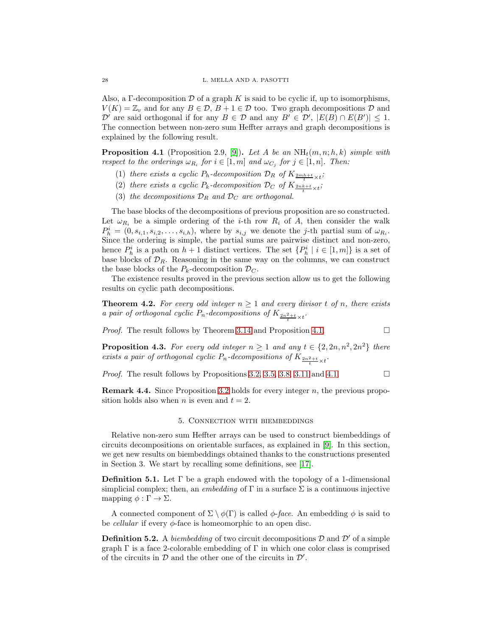Also, a  $\Gamma$ -decomposition  $\mathcal D$  of a graph K is said to be cyclic if, up to isomorphisms,  $V(K) = \mathbb{Z}_v$  and for any  $B \in \mathcal{D}$ ,  $B + 1 \in \mathcal{D}$  too. Two graph decompositions  $\mathcal{D}$  and  $\mathcal{D}'$  are said orthogonal if for any  $B \in \mathcal{D}$  and any  $B' \in \mathcal{D}'$ ,  $|E(B) \cap E(B')| \leq 1$ . The connection between non-zero sum Heffter arrays and graph decompositions is explained by the following result.

<span id="page-27-0"></span>**Proposition 4.1** (Proposition 2.9, [\[9\]](#page-33-10)). Let A be an  $NH_t(m, n; h, k)$  simple with respect to the orderings  $\omega_{R_i}$  for  $i \in [1, m]$  and  $\omega_{C_j}$  for  $j \in [1, n]$ . Then:

- (1) there exists a cyclic  $P_h$ -decomposition  $\mathcal{D}_R$  of  $K_{\frac{2mh+t}{t}\times t}$ ;
- (2) there exists a cyclic  $P_k$ -decomposition  $\mathcal{D}_C$  of  $K_{\frac{2nk+t}{t}\times t}$ ;
- (3) the decompositions  $\mathcal{D}_R$  and  $\mathcal{D}_C$  are orthogonal.

The base blocks of the decompositions of previous proposition are so constructed. Let  $\omega_{R_i}$  be a simple ordering of the *i*-th row  $R_i$  of A, then consider the walk  $P_h^i = (0, s_{i,1}, s_{i,2}, \ldots, s_{i,h}),$  where by  $s_{i,j}$  we denote the j-th partial sum of  $\omega_{R_i}$ . Since the ordering is simple, the partial sums are pairwise distinct and non-zero, hence  $P_h^i$  is a path on  $h+1$  distinct vertices. The set  $\{P_h^i \mid i \in [1,m]\}$  is a set of base blocks of  $\mathcal{D}_R$ . Reasoning in the same way on the columns, we can construct the base blocks of the  $P_k$ -decomposition  $\mathcal{D}_C$ .

The existence results proved in the previous section allow us to get the following results on cyclic path decompositions.

**Theorem 4.2.** For every odd integer  $n \geq 1$  and every divisor t of n, there exists a pair of orthogonal cyclic  $P_n$ -decompositions of  $K_{\frac{2n^2+t}{t}\times t}$ .

*Proof.* The result follows by Theorem [3.14](#page-20-0) and Proposition [4.1.](#page-27-0)

**Proposition 4.3.** For every odd integer  $n \geq 1$  and any  $t \in \{2, 2n, n^2, 2n^2\}$  there exists a pair of orthogonal cyclic  $P_n$ -decompositions of  $K_{\frac{2n^2+t}{t} \times t}$ .

*Proof.* The result follows by Propositions [3.2,](#page-3-0) [3.5,](#page-5-0) [3.8,](#page-8-0) [3.11](#page-14-0) and [4.1.](#page-27-0)  $\Box$ 

**Remark 4.4.** Since Proposition [3.2](#page-3-0) holds for every integer  $n$ , the previous proposition holds also when *n* is even and  $t = 2$ .

## 5. Connection with biembeddings

Relative non-zero sum Heffter arrays can be used to construct biembeddings of circuits decompositions on orientable surfaces, as explained in [\[9\]](#page-33-10). In this section, we get new results on biembeddings obtained thanks to the constructions presented in Section 3. We start by recalling some definitions, see [\[17\]](#page-33-15).

**Definition 5.1.** Let  $\Gamma$  be a graph endowed with the topology of a 1-dimensional simplicial complex; then, an *embedding* of  $\Gamma$  in a surface  $\Sigma$  is a continuous injective mapping  $\phi : \Gamma \to \Sigma$ .

A connected component of  $\Sigma \setminus \phi(\Gamma)$  is called  $\phi$ -face. An embedding  $\phi$  is said to be *cellular* if every  $\phi$ -face is homeomorphic to an open disc.

**Definition 5.2.** A *biembedding* of two circuit decompositions  $D$  and  $D'$  of a simple graph  $\Gamma$  is a face 2-colorable embedding of  $\Gamma$  in which one color class is comprised of the circuits in  $D$  and the other one of the circuits in  $D'$ .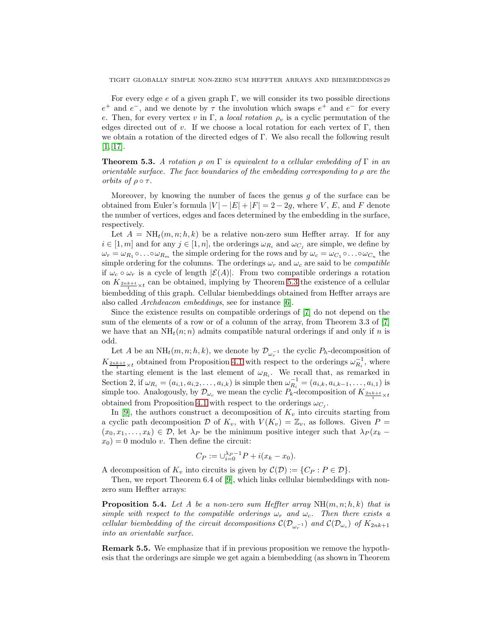For every edge  $e$  of a given graph  $\Gamma$ , we will consider its two possible directions  $e^+$  and  $e^-$ , and we denote by  $\tau$  the involution which swaps  $e^+$  and  $e^-$  for every e. Then, for every vertex v in Γ, a local rotation  $\rho_v$  is a cyclic permutation of the edges directed out of v. If we choose a local rotation for each vertex of  $\Gamma$ , then we obtain a rotation of the directed edges of Γ. We also recall the following result [\[1,](#page-33-0) [17\]](#page-33-15).

<span id="page-28-0"></span>**Theorem 5.3.** A rotation  $\rho$  on  $\Gamma$  is equivalent to a cellular embedding of  $\Gamma$  in an orientable surface. The face boundaries of the embedding corresponding to  $\rho$  are the orbits of  $\rho \circ \tau$ .

Moreover, by knowing the number of faces the genus  $g$  of the surface can be obtained from Euler's formula  $|V| - |E| + |F| = 2 - 2q$ , where V, E, and F denote the number of vertices, edges and faces determined by the embedding in the surface, respectively.

Let  $A = NH<sub>t</sub>(m, n; h, k)$  be a relative non-zero sum Heffter array. If for any  $i \in [1, m]$  and for any  $j \in [1, n]$ , the orderings  $\omega_{R_i}$  and  $\omega_{C_i}$  are simple, we define by  $\omega_r = \omega_{R_1} \circ \ldots \circ \omega_{R_m}$  the simple ordering for the rows and by  $\omega_c = \omega_{C_1} \circ \ldots \circ \omega_{C_n}$  the simple ordering for the columns. The orderings  $\omega_r$  and  $\omega_c$  are said to be *compatible* if  $\omega_c \circ \omega_r$  is a cycle of length  $|\mathcal{E}(A)|$ . From two compatible orderings a rotation on  $K_{\frac{2nk+t}{t}\times t}$  can be obtained, implying by Theorem [5.3](#page-28-0) the existence of a cellular biembedding of this graph. Cellular biembeddings obtained from Heffter arrays are also called Archdeacon embeddings, see for instance [\[6\]](#page-33-11).

Since the existence results on compatible orderings of [\[7\]](#page-33-16) do not depend on the sum of the elements of a row or of a column of the array, from Theorem 3.3 of [\[7\]](#page-33-16) we have that an  $NH<sub>t</sub>(n; n)$  admits compatible natural orderings if and only if n is odd.

Let A be an  $NH_t(m, n; h, k)$ , we denote by  $\mathcal{D}_{\omega_r^{-1}}$  the cyclic  $P_h$ -decomposition of  $K_{\frac{2nk+t}{t}\times t}$  obtained from Proposition [4.1](#page-27-0) with respect to the orderings  $\omega_{R_i}^{-1}$ , where the starting element is the last element of  $\omega_{R_i}$ . We recall that, as remarked in Section 2, if  $\omega_{R_i} = (a_{i,1}, a_{i,2}, \dots, a_{i,k})$  is simple then  $\omega_{R_i}^{-1} = (a_{i,k}, a_{i,k-1}, \dots, a_{i,1})$  is simple too. Analogously, by  $\mathcal{D}_{\omega_c}$  we mean the cyclic  $P_k$ -decomposition of  $K_{\frac{2nk+t}{t}\times t}$ obtained from Proposition [4.1](#page-27-0) with respect to the orderings  $\omega_{C_j}$ .

In [\[9\]](#page-33-10), the authors construct a decomposition of  $K_v$  into circuits starting from a cyclic path decomposition D of  $K_v$ , with  $V(K_v) = \mathbb{Z}_v$ , as follows. Given P  $(x_0, x_1, \ldots, x_k) \in \mathcal{D}$ , let  $\lambda_P$  be the minimum positive integer such that  $\lambda_P(x_k$  $x_0$ ) = 0 modulo v. Then define the circuit:

$$
C_P := \bigcup_{i=0}^{\lambda_P - 1} P + i(x_k - x_0).
$$

A decomposition of  $K_v$  into circuits is given by  $\mathcal{C}(\mathcal{D}) := \{C_P : P \in \mathcal{D}\}.$ 

Then, we report Theorem 6.4 of [\[9\]](#page-33-10), which links cellular biembeddings with nonzero sum Heffter arrays:

<span id="page-28-1"></span>**Proposition 5.4.** Let A be a non-zero sum Heffter array  $NH(m, n; h, k)$  that is simple with respect to the compatible orderings  $\omega_r$  and  $\omega_c$ . Then there exists a cellular biembedding of the circuit decompositions  $\mathcal{C}(\mathcal{D}_{\omega_r^{-1}})$  and  $\mathcal{C}(\mathcal{D}_{\omega_c})$  of  $K_{2nk+1}$ into an orientable surface.

Remark 5.5. We emphasize that if in previous proposition we remove the hypothesis that the orderings are simple we get again a biembedding (as shown in Theorem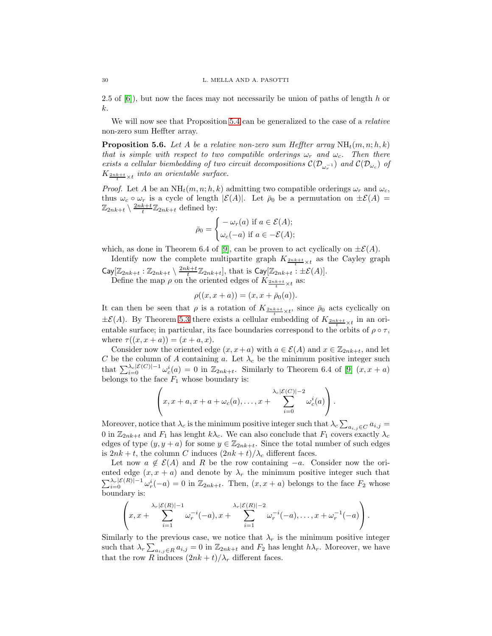2.5 of  $[6]$ , but now the faces may not necessarily be union of paths of length h or k.

We will now see that Proposition [5.4](#page-28-1) can be generalized to the case of a relative non-zero sum Heffter array.

<span id="page-29-0"></span>**Proposition 5.6.** Let A be a relative non-zero sum Heffter array  $NH_t(m, n; h, k)$ that is simple with respect to two compatible orderings  $\omega_r$  and  $\omega_c$ . Then there exists a cellular biembedding of two circuit decompositions  $\mathcal{C}(\mathcal{D}_{\omega_r^{-1}})$  and  $\mathcal{C}(\mathcal{D}_{\omega_c})$  of  $K_{\frac{2nk+t}{t}\times t}$  into an orientable surface.

*Proof.* Let A be an  $NH_t(m, n; h, k)$  admitting two compatible orderings  $\omega_r$  and  $\omega_c$ , thus  $\omega_c \circ \omega_r$  is a cycle of length  $|\mathcal{E}(A)|$ . Let  $\bar{\rho}_0$  be a permutation on  $\pm \mathcal{E}(A)$  =  $\mathbb{Z}_{2nk+t} \setminus \frac{2nk+t}{t} \mathbb{Z}_{2nk+t}$  defined by:

$$
\bar{\rho}_0 = \begin{cases}\n-\omega_r(a) & \text{if } a \in \mathcal{E}(A); \\
\omega_c(-a) & \text{if } a \in -\mathcal{E}(A); \n\end{cases}
$$

which, as done in Theorem 6.4 of [\[9\]](#page-33-10), can be proven to act cyclically on  $\pm \mathcal{E}(A)$ .

Identify now the complete multipartite graph  $K_{\frac{2nk+t}{t}\times t}$  as the Cayley graph  $\mathsf{Cay}[\mathbb{Z}_{2nk+t}:\mathbb{Z}_{2nk+t}\setminus\frac{2nk+t}{t}\mathbb{Z}_{2nk+t}],$  that is  $\mathsf{Cay}[\mathbb{Z}_{2nk+t}:\pm \mathcal{E}(A)].$ 

Define the map  $\rho$  on the oriented edges of  $K_{\frac{2nk+t}{t}\times t}$  as:

$$
\rho((x, x + a)) = (x, x + \bar{\rho}_0(a)).
$$

It can then be seen that  $\rho$  is a rotation of  $K_{\frac{2nk+t}{t}\times t}$ , since  $\bar{\rho}_0$  acts cyclically on  $\pm \mathcal{E}(A)$ . By Theorem [5.3](#page-28-0) there exists a cellular embedding of  $K_{\frac{2nk+t}{t}\times t}$  in an orientable surface; in particular, its face boundaries correspond to the orbits of  $\rho \circ \tau$ , where  $\tau((x, x + a)) = (x + a, x)$ .

Consider now the oriented edge  $(x, x+a)$  with  $a \in \mathcal{E}(A)$  and  $x \in \mathbb{Z}_{2nk+t}$ , and let C be the column of A containing a. Let  $\lambda_c$  be the minimum positive integer such that  $\sum_{i=0}^{\lambda_c|\mathcal{E}(C)|-1} \omega_c^i(a) = 0$  in  $\mathbb{Z}_{2nk+t}$ . Similarly to Theorem 6.4 of [\[9\]](#page-33-10)  $(x, x+a)$ belongs to the face  $F_1$  whose boundary is:

$$
\left(x, x+a, x+a+\omega_c(a), \ldots, x+\sum_{i=0}^{\lambda_c|\mathcal{E}(C)|-2} \omega_c^i(a)\right).
$$

Moreover, notice that  $\lambda_c$  is the minimum positive integer such that  $\lambda_c \sum_{a_{i,j} \in C} a_{i,j} =$ 0 in  $\mathbb{Z}_{2nk+t}$  and  $F_1$  has lenght  $k\lambda_c$ . We can also conclude that  $F_1$  covers exactly  $\lambda_c$ edges of type  $(y, y + a)$  for some  $y \in \mathbb{Z}_{2nk+t}$ . Since the total number of such edges is  $2nk + t$ , the column C induces  $(2nk + t)/\lambda_c$  different faces.

Let now  $a \notin \mathcal{E}(A)$  and R be the row containing  $-a$ . Consider now the oriented edge  $(x, x + a)$  and denote by  $\lambda_r$  the minimum positive integer such that  $\sum_{i=0}^{\lambda_r|\mathcal{E}(R)|-1} \omega_r^i(-a) = 0$  in  $\mathbb{Z}_{2nk+t}$ . Then,  $(x, x + a)$  belongs to the face  $F_2$  whose boundary is:

$$
\left(x, x+\sum_{i=1}^{\lambda_r|\mathcal{E}(R)|-1}\omega_r^{-i}(-a), x+\sum_{i=1}^{\lambda_r|\mathcal{E}(R)|-2}\omega_r^{-i}(-a), \ldots, x+\omega_r^{-1}(-a)\right).
$$

Similarly to the previous case, we notice that  $\lambda_r$  is the minimum positive integer such that  $\lambda_r \sum_{a_{i,j} \in R} a_{i,j} = 0$  in  $\mathbb{Z}_{2nk+t}$  and  $F_2$  has lenght  $h\lambda_r$ . Moreover, we have that the row R induces  $(2nk + t)/\lambda_r$  different faces.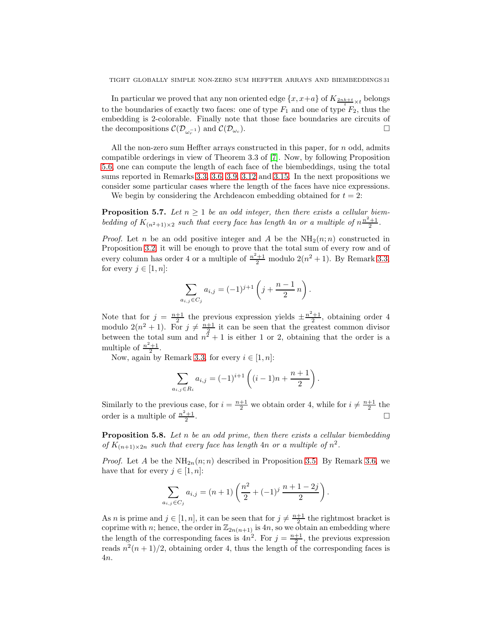In particular we proved that any non oriented edge  $\{x, x+a\}$  of  $K_{\frac{2nk+t}{t} \times t}$  belongs to the boundaries of exactly two faces: one of type  $F_1$  and one of type  $F_2$ , thus the embedding is 2-colorable. Finally note that those face boundaries are circuits of the decompositions  $\mathcal{C}(\mathcal{D}_{\omega_r^{-1}})$  and  $\mathcal{C}(\mathcal{D}_{\omega_c})$  $\Box$ 

All the non-zero sum Heffter arrays constructed in this paper, for  $n$  odd, admits compatible orderings in view of Theorem 3.3 of [\[7\]](#page-33-16). Now, by following Proposition [5.6,](#page-29-0) one can compute the length of each face of the biembeddings, using the total sums reported in Remarks [3.3,](#page-4-0) [3.6,](#page-7-0) [3.9,](#page-13-0) [3.12](#page-19-0) and [3.15.](#page-25-0) In the next propositions we consider some particular cases where the length of the faces have nice expressions.

We begin by considering the Archdeacon embedding obtained for  $t = 2$ :

<span id="page-30-0"></span>**Proposition 5.7.** Let  $n \geq 1$  be an odd integer, then there exists a cellular biembedding of  $K_{(n^2+1)\times 2}$  such that every face has length 4n or a multiple of  $n^{\frac{n^2+1}{2}}$ .

*Proof.* Let n be an odd positive integer and A be the  $NH_2(n; n)$  constructed in Proposition [3.2;](#page-3-0) it will be enough to prove that the total sum of every row and of every column has order 4 or a multiple of  $\frac{n^2+1}{2}$  modulo  $2(n^2+1)$ . By Remark [3.3,](#page-4-0) for every  $j \in [1, n]$ :

$$
\sum_{a_{i,j}\in C_j} a_{i,j} = (-1)^{j+1} \left( j + \frac{n-1}{2} n \right).
$$

Note that for  $j = \frac{n+1}{2}$  the previous expression yields  $\pm \frac{n^2+1}{2}$ , obtaining order 4 modulo  $2(n^2+1)$ . For  $j \neq \frac{n+1}{2}$  it can be seen that the greatest common divisor between the total sum and  $n^2 + 1$  is either 1 or 2, obtaining that the order is a multiple of  $\frac{n^2+1}{2}$ .

Now, again by Remark [3.3,](#page-4-0) for every  $i \in [1, n]$ :

$$
\sum_{a_{i,j}\in R_i} a_{i,j} = (-1)^{i+1} \left( (i-1)n + \frac{n+1}{2} \right).
$$

Similarly to the previous case, for  $i = \frac{n+1}{2}$  we obtain order 4, while for  $i \neq \frac{n+1}{2}$  the order is a multiple of  $\frac{n^2+1}{2}$ . В последните поставите на селото на селото на селото на селото на селото на селото на селото на селото на се<br>Селото на селото на селото на селото на селото на селото на селото на селото на селото на селото на селото на

<span id="page-30-1"></span>**Proposition 5.8.** Let  $n$  be an odd prime, then there exists a cellular biembedding of  $K_{(n+1)\times 2n}$  such that every face has length 4n or a multiple of  $n^2$ .

*Proof.* Let A be the  $NH_{2n}(n;n)$  described in Proposition [3.5.](#page-5-0) By Remark [3.6,](#page-7-0) we have that for every  $j \in [1, n]$ :

$$
\sum_{a_{i,j}\in C_j} a_{i,j} = (n+1)\left(\frac{n^2}{2} + (-1)^j \frac{n+1-2j}{2}\right).
$$

As *n* is prime and  $j \in [1, n]$ , it can be seen that for  $j \neq \frac{n+1}{2}$  the rightmost bracket is coprime with n; hence, the order in  $\mathbb{Z}_{2n(n+1)}$  is 4n, so we obtain an embedding where the length of the corresponding faces is  $4n^2$ . For  $j = \frac{n+1}{2}$ , the previous expression reads  $n^2(n+1)/2$ , obtaining order 4, thus the length of the corresponding faces is 4n.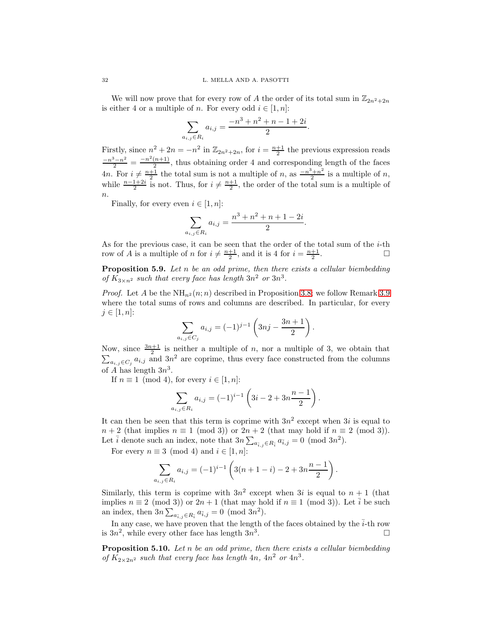We will now prove that for every row of A the order of its total sum in  $\mathbb{Z}_{2n^2+2n}$ is either 4 or a multiple of *n*. For every odd  $i \in [1, n]$ :

$$
\sum_{a_{i,j}\in R_i} a_{i,j} = \frac{-n^3 + n^2 + n - 1 + 2i}{2}.
$$

Firstly, since  $n^2 + 2n = -n^2$  in  $\mathbb{Z}_{2n^2+2n}$ , for  $i = \frac{n+1}{2}$  the previous expression reads  $\frac{-n^3-n^2}{2} = \frac{-n^2(n+1)}{2}$  $\frac{(n+1)}{2}$ , thus obtaining order 4 and corresponding length of the faces 4*n*. For  $i \neq \frac{n+1}{2}$  the total sum is not a multiple of *n*, as  $\frac{-n^3+n^2}{2}$  $\frac{n+n^2}{2}$  is a multiple of *n*, while  $\frac{n-1+2i}{2}$  is not. Thus, for  $i \neq \frac{n+1}{2}$ , the order of the total sum is a multiple of  $\overline{n}$ .

Finally, for every even  $i \in [1, n]$ :

$$
\sum_{a_{i,j}\in R_i} a_{i,j} = \frac{n^3 + n^2 + n + 1 - 2i}{2}.
$$

As for the previous case, it can be seen that the order of the total sum of the  $i$ -th row of A is a multiple of n for  $i \neq \frac{n+1}{2}$ , and it is 4 for  $i = \frac{n+1}{2}$ .

<span id="page-31-0"></span>**Proposition 5.9.** Let  $n$  be an odd prime, then there exists a cellular biembedding of  $K_{3\times n^2}$  such that every face has length  $3n^2$  or  $3n^3$ .

*Proof.* Let A be the  $NH_{n^2}(n;n)$  described in Proposition [3.8;](#page-8-0) we follow Remark [3.9](#page-13-0) where the total sums of rows and columns are described. In particular, for every  $j \in [1, n]$ :

$$
\sum_{a_{i,j}\in C_j} a_{i,j} = (-1)^{j-1} \left( 3nj - \frac{3n+1}{2} \right).
$$

Now, since  $\frac{3n+1}{2}$ <br> $\sum_{a_i}$   $\in$   $C_i$   $a_{i,j}$  and is neither a multiple of  $n$ , nor a multiple of 3, we obtain that  $a_{i,j} \in C_j$  a<sub>i,j</sub> and 3n<sup>2</sup> are coprime, thus every face constructed from the columns of A has length  $3n^3$ .

If  $n \equiv 1 \pmod{4}$ , for every  $i \in [1, n]$ :

$$
\sum_{a_{i,j}\in R_i} a_{i,j} = (-1)^{i-1} \left( 3i - 2 + 3n \frac{n-1}{2} \right).
$$

It can then be seen that this term is coprime with  $3n^2$  except when  $3i$  is equal to  $n+2$  (that implies  $n \equiv 1 \pmod{3}$ ) or  $2n+2$  (that may hold if  $n \equiv 2 \pmod{3}$ ). Let  $\bar{i}$  denote such an index, note that  $3n\sum_{a_{\bar{i},j}\in R_{\bar{i}}}a_{\bar{i},j}=0$  (mod  $3n^2$ ).

For every  $n \equiv 3 \pmod{4}$  and  $i \in [1, n]$ :

$$
\sum_{a_{i,j}\in R_i} a_{i,j} = (-1)^{i-1} \left( 3(n+1-i) - 2 + 3n \frac{n-1}{2} \right).
$$

Similarly, this term is coprime with  $3n^2$  except when  $3i$  is equal to  $n+1$  (that implies  $n \equiv 2 \pmod{3}$  or  $2n + 1$  (that may hold if  $n \equiv 1 \pmod{3}$ ). Let  $\overline{i}$  be such an index, then  $3n\sum_{a_{\bar{i},j}\in R_{\bar{i}}}a_{\bar{i},j}=0 \pmod{3n^2}$ .

In any case, we have proven that the length of the faces obtained by the  $\overline{i}$ -th row is  $3n^2$ , while every other face has length  $3n^3$ .

<span id="page-31-1"></span>**Proposition 5.10.** Let n be an odd prime, then there exists a cellular biembedding of  $K_{2\times 2n^2}$  such that every face has length  $4n$ ,  $4n^2$  or  $4n^3$ .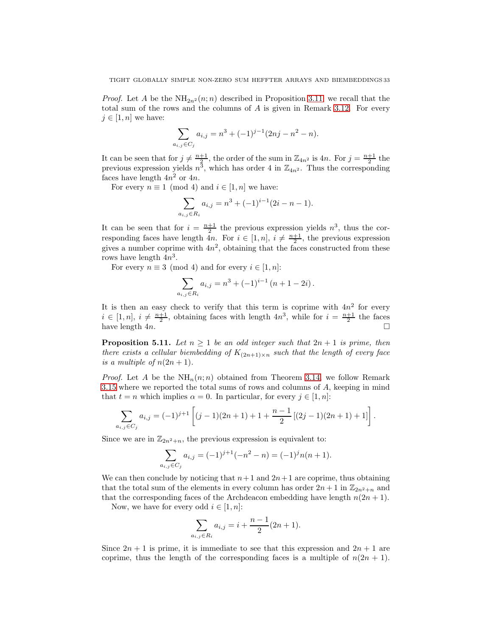*Proof.* Let A be the  $NH_{2n^2}(n;n)$  described in Proposition [3.11;](#page-14-0) we recall that the total sum of the rows and the columns of  $A$  is given in Remark [3.12.](#page-19-0) For every  $j \in [1, n]$  we have:

$$
\sum_{a_{i,j}\in C_j} a_{i,j} = n^3 + (-1)^{j-1} (2nj - n^2 - n).
$$

It can be seen that for  $j \neq \frac{n+1}{2}$ , the order of the sum in  $\mathbb{Z}_{4n^2}$  is  $4n$ . For  $j = \frac{n+1}{2}$  the previous expression yields  $n^3$ , which has order 4 in  $\mathbb{Z}_{4n^2}$ . Thus the corresponding faces have length  $4n^2$  or  $4n$ .

For every  $n \equiv 1 \pmod{4}$  and  $i \in [1, n]$  we have:

$$
\sum_{a_{i,j}\in R_i} a_{i,j} = n^3 + (-1)^{i-1}(2i - n - 1).
$$

It can be seen that for  $i = \frac{n+1}{2}$  the previous expression yields  $n^3$ , thus the corresponding faces have length  $4n$ . For  $i \in [1, n]$ ,  $i \neq \frac{n+1}{2}$ , the previous expression gives a number coprime with  $4n^2$ , obtaining that the faces constructed from these rows have length  $4n^3$ .

For every  $n \equiv 3 \pmod{4}$  and for every  $i \in [1, n]$ :

$$
\sum_{a_{i,j}\in R_i} a_{i,j} = n^3 + (-1)^{i-1} (n+1-2i).
$$

It is then an easy check to verify that this term is coprime with  $4n^2$  for every  $i \in [1, n], i \neq \frac{n+1}{2}$ , obtaining faces with length  $4n^3$ , while for  $i = \frac{n+1}{2}$  the faces have length  $4n$ .

<span id="page-32-0"></span>**Proposition 5.11.** Let  $n \geq 1$  be an odd integer such that  $2n + 1$  is prime, then there exists a cellular biembedding of  $K_{(2n+1)\times n}$  such that the length of every face is a multiple of  $n(2n + 1)$ .

*Proof.* Let A be the  $NH_n(n;n)$  obtained from Theorem [3.14,](#page-20-0) we follow Remark [3.15](#page-25-0) where we reported the total sums of rows and columns of A, keeping in mind that  $t = n$  which implies  $\alpha = 0$ . In particular, for every  $j \in [1, n]$ :

$$
\sum_{a_{i,j}\in C_j} a_{i,j} = (-1)^{j+1} \left[ (j-1)(2n+1) + 1 + \frac{n-1}{2} \left[ (2j-1)(2n+1) + 1 \right] \right].
$$

Since we are in  $\mathbb{Z}_{2n^2+n}$ , the previous expression is equivalent to:

$$
\sum_{a_{i,j}\in C_j} a_{i,j} = (-1)^{j+1}(-n^2 - n) = (-1)^j n(n+1).
$$

We can then conclude by noticing that  $n+1$  and  $2n+1$  are coprime, thus obtaining that the total sum of the elements in every column has order  $2n + 1$  in  $\mathbb{Z}_{2n^2+n}$  and that the corresponding faces of the Archdeacon embedding have length  $n(2n + 1)$ .

Now, we have for every odd  $i \in [1, n]$ :

$$
\sum_{a_{i,j}\in R_i} a_{i,j} = i + \frac{n-1}{2}(2n+1).
$$

Since  $2n + 1$  is prime, it is immediate to see that this expression and  $2n + 1$  are coprime, thus the length of the corresponding faces is a multiple of  $n(2n + 1)$ .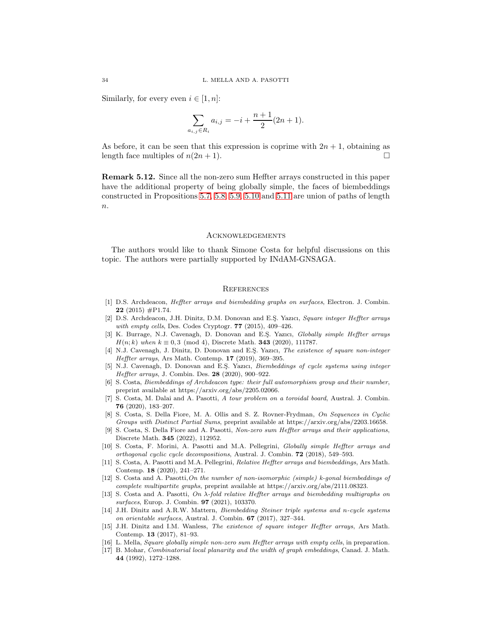Similarly, for every even  $i \in [1, n]$ :

$$
\sum_{a_{i,j}\in R_i} a_{i,j} = -i + \frac{n+1}{2}(2n+1).
$$

As before, it can be seen that this expression is coprime with  $2n + 1$ , obtaining as length face multiples of  $n(2n + 1)$ .

Remark 5.12. Since all the non-zero sum Heffter arrays constructed in this paper have the additional property of being globally simple, the faces of biembeddings constructed in Propositions [5.7,](#page-30-0) [5.8,](#page-30-1) [5.9,](#page-31-0) [5.10](#page-31-1) and [5.11](#page-32-0) are union of paths of length  $n$ .

#### Acknowledgements

The authors would like to thank Simone Costa for helpful discussions on this topic. The authors were partially supported by INdAM-GNSAGA.

## **REFERENCES**

- <span id="page-33-0"></span>[1] D.S. Archdeacon, *Heffter arrays and biembedding graphs on surfaces*, Electron. J. Combin. 22 (2015)  $#P1.74$ .
- <span id="page-33-2"></span>[2] D.S. Archdeacon, J.H. Dinitz, D.M. Donovan and E.S. Yazıcı, Square integer Heffter arrays with empty cells, Des. Codes Cryptogr.  $77$  (2015), 409-426.
- <span id="page-33-13"></span>[3] K. Burrage, N.J. Cavenagh, D. Donovan and E.S¸. Yazıcı, Globally simple Heffter arrays  $H(n; k)$  when  $k \equiv 0, 3 \pmod{4}$ , Discrete Math. **343** (2020), 111787.
- <span id="page-33-3"></span>[4] N.J. Cavenagh, J. Dinitz, D. Donovan and E.S. Yazıcı, The existence of square non-integer Heffter arrays, Ars Math. Contemp. 17 (2019), 369–395.
- <span id="page-33-5"></span>[5] N.J. Cavenagh, D. Donovan and E.S¸. Yazıcı, Biembeddings of cycle systems using integer Heffter arrays, J. Combin. Des. 28 (2020), 900–922.
- <span id="page-33-11"></span>[6] S. Costa, Biembeddings of Archdeacon type: their full automorphism group and their number, preprint available at https://arxiv.org/abs/2205.02066.
- <span id="page-33-16"></span>[7] S. Costa, M. Dalai and A. Pasotti, A tour problem on a toroidal board, Austral. J. Combin. 76 (2020), 183–207.
- <span id="page-33-14"></span>[8] S. Costa, S. Della Fiore, M. A. Ollis and S. Z. Rovner-Frydman, On Sequences in Cyclic Groups with Distinct Partial Sums, preprint available at https://arxiv.org/abs/2203.16658.
- <span id="page-33-10"></span>[9] S. Costa, S. Della Fiore and A. Pasotti, Non-zero sum Heffter arrays and their applications, Discrete Math. 345 (2022), 112952.
- <span id="page-33-6"></span>[10] S. Costa, F. Morini, A. Pasotti and M.A. Pellegrini, Globally simple Heffter arrays and orthogonal cyclic cycle decompositions, Austral. J. Combin. 72 (2018), 549–593.
- <span id="page-33-7"></span>[11] S. Costa, A. Pasotti and M.A. Pellegrini, Relative Heffter arrays and biembeddings, Ars Math. Contemp. 18 (2020), 241–271.
- <span id="page-33-8"></span>[12] S. Costa and A. Pasotti,On the number of non-isomorphic (simple) k-gonal biembeddings of complete multipartite graphs, preprint available at https://arxiv.org/abs/2111.08323.
- <span id="page-33-1"></span>[13] S. Costa and A. Pasotti, On  $\lambda$ -fold relative Heffter arrays and biembedding multigraphs on surfaces, Europ. J. Combin. 97 (2021), 103370.
- <span id="page-33-9"></span>[14] J.H. Dinitz and A.R.W. Mattern, Biembedding Steiner triple systems and n-cycle systems on orientable surfaces, Austral. J. Combin. 67 (2017), 327–344.
- <span id="page-33-4"></span>[15] J.H. Dinitz and I.M. Wanless, The existence of square integer Heffter arrays, Ars Math. Contemp. 13 (2017), 81–93.
- <span id="page-33-15"></span><span id="page-33-12"></span>[16] L. Mella, Square globally simple non-zero sum Heffter arrays with empty cells, in preparation.
- [17] B. Mohar, Combinatorial local planarity and the width of graph embeddings, Canad. J. Math. 44 (1992), 1272–1288.